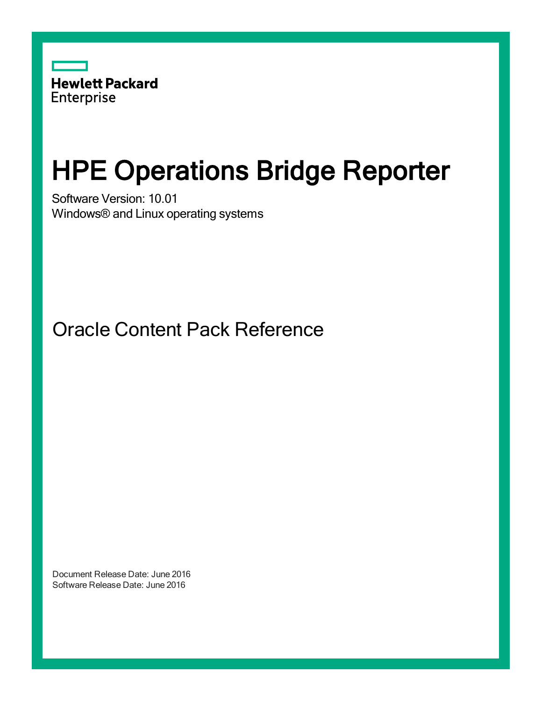

# HPE Operations Bridge Reporter

Software Version: 10.01 Windows® and Linux operating systems

Oracle Content Pack Reference

Document Release Date: June 2016 Software Release Date: June 2016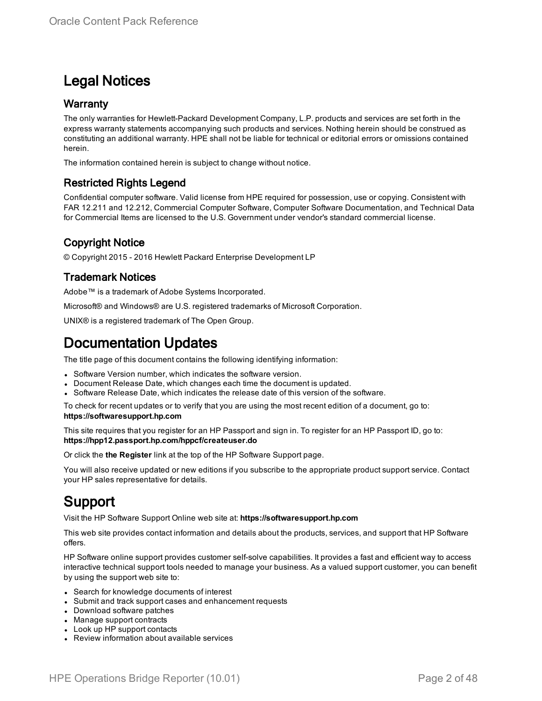### Legal Notices

#### **Warranty**

The only warranties for Hewlett-Packard Development Company, L.P. products and services are set forth in the express warranty statements accompanying such products and services. Nothing herein should be construed as constituting an additional warranty. HPE shall not be liable for technical or editorial errors or omissions contained herein.

The information contained herein is subject to change without notice.

#### Restricted Rights Legend

Confidential computer software. Valid license from HPE required for possession, use or copying. Consistent with FAR 12.211 and 12.212, Commercial Computer Software, Computer Software Documentation, and Technical Data for Commercial Items are licensed to the U.S. Government under vendor's standard commercial license.

#### Copyright Notice

© Copyright 2015 - 2016 Hewlett Packard Enterprise Development LP

#### Trademark Notices

Adobe™ is a trademark of Adobe Systems Incorporated.

Microsoft® and Windows® are U.S. registered trademarks of Microsoft Corporation.

UNIX® is a registered trademark of The Open Group.

### Documentation Updates

The title page of this document contains the following identifying information:

- Software Version number, which indicates the software version.
- Document Release Date, which changes each time the document is updated.
- Software Release Date, which indicates the release date of this version of the software.

To check for recent updates or to verify that you are using the most recent edition of a document, go to: **https://softwaresupport.hp.com**

This site requires that you register for an HP Passport and sign in. To register for an HP Passport ID, go to: **https://hpp12.passport.hp.com/hppcf/createuser.do**

Or click the **the Register** link at the top of the HP Software Support page.

You will also receive updated or new editions if you subscribe to the appropriate product support service. Contact your HP sales representative for details.

### Support

Visit the HP Software Support Online web site at: **https://softwaresupport.hp.com**

This web site provides contact information and details about the products, services, and support that HP Software offers.

HP Software online support provides customer self-solve capabilities. It provides a fast and efficient way to access interactive technical support tools needed to manage your business. As a valued support customer, you can benefit by using the support web site to:

- Search for knowledge documents of interest
- Submit and track support cases and enhancement requests
- Download software patches
- Manage support contracts
- Look up HP support contacts
- Review information about available services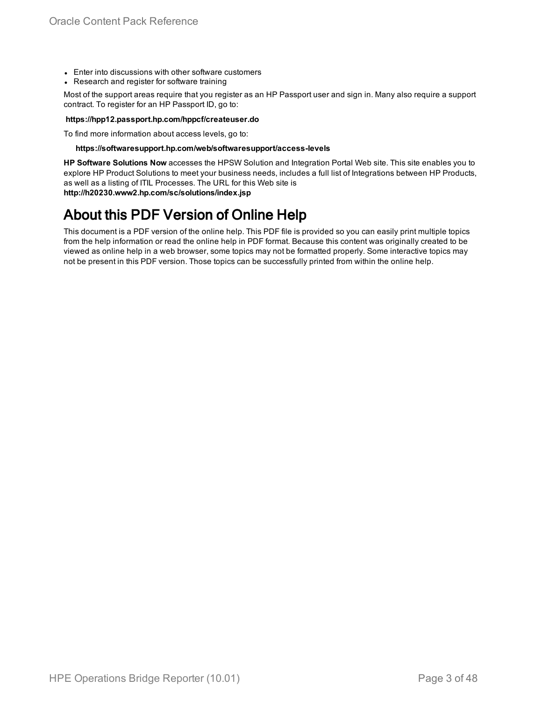- Enter into discussions with other software customers
- Research and register for software training

Most of the support areas require that you register as an HP Passport user and sign in. Many also require a support contract. To register for an HP Passport ID, go to:

#### **https://hpp12.passport.hp.com/hppcf/createuser.do**

To find more information about access levels, go to:

#### **https://softwaresupport.hp.com/web/softwaresupport/access-levels**

**HP Software Solutions Now** accesses the HPSW Solution and Integration Portal Web site. This site enables you to explore HP Product Solutions to meet your business needs, includes a full list of Integrations between HP Products, as well as a listing of ITIL Processes. The URL for this Web site is **http://h20230.www2.hp.com/sc/solutions/index.jsp**

### About this PDF Version of Online Help

This document is a PDF version of the online help. This PDF file is provided so you can easily print multiple topics from the help information or read the online help in PDF format. Because this content was originally created to be viewed as online help in a web browser, some topics may not be formatted properly. Some interactive topics may not be present in this PDF version. Those topics can be successfully printed from within the online help.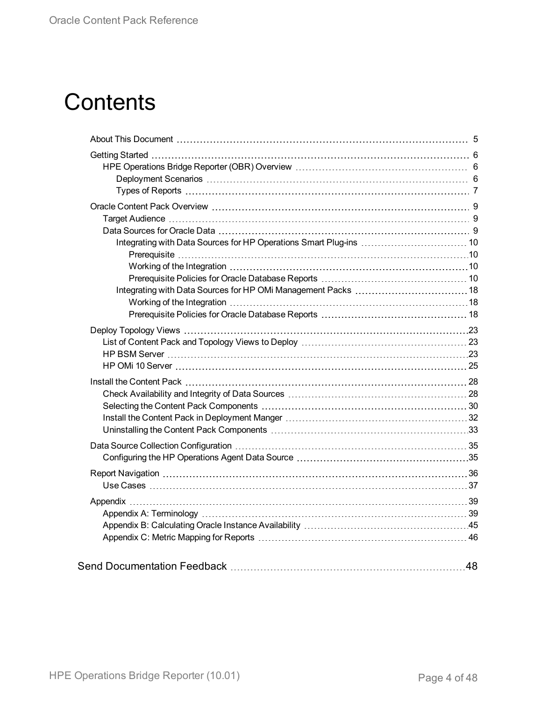# **Contents**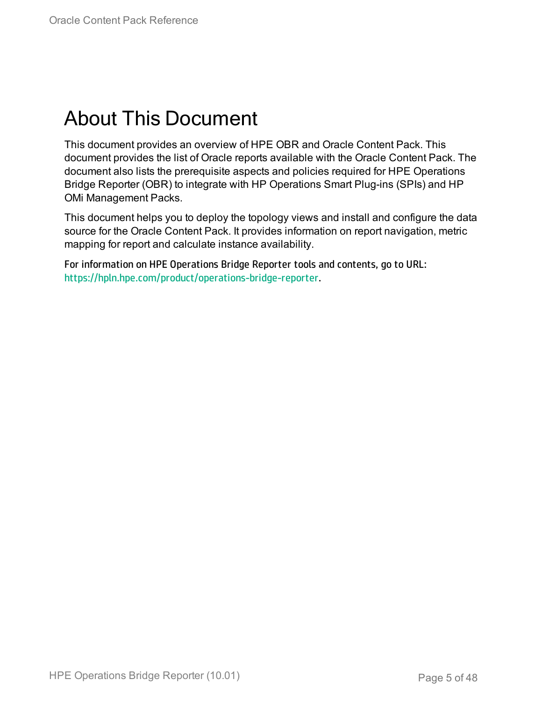# <span id="page-4-0"></span>About This Document

This document provides an overview of HPE OBR and Oracle Content Pack. This document provides the list of Oracle reports available with the Oracle Content Pack. The document also lists the prerequisite aspects and policies required for HPE Operations Bridge Reporter (OBR) to integrate with HP Operations Smart Plug-ins (SPIs) and HP OMi Management Packs.

This document helps you to deploy the topology views and install and configure the data source for the Oracle Content Pack. It provides information on report navigation, metric mapping for report and calculate instance availability.

For information on HPE Operations Bridge Reporter tools and contents, go to URL: <https://hpln.hpe.com/product/operations-bridge-reporter>.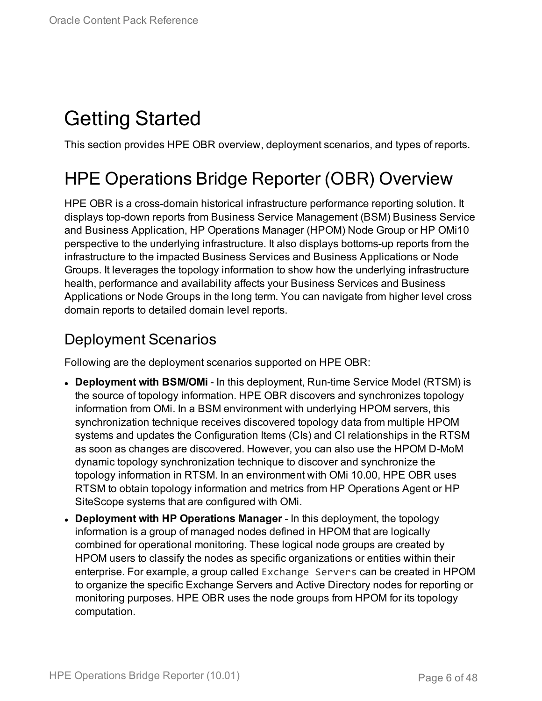# <span id="page-5-0"></span>Getting Started

<span id="page-5-1"></span>This section provides HPE OBR overview, deployment scenarios, and types of reports.

## HPE Operations Bridge Reporter (OBR) Overview

HPE OBR is a cross-domain historical infrastructure performance reporting solution. It displays top-down reports from Business Service Management (BSM) Business Service and Business Application, HP Operations Manager (HPOM) Node Group or HP OMi10 perspective to the underlying infrastructure. It also displays bottoms-up reports from the infrastructure to the impacted Business Services and Business Applications or Node Groups. It leverages the topology information to show how the underlying infrastructure health, performance and availability affects your Business Services and Business Applications or Node Groups in the long term. You can navigate from higher level cross domain reports to detailed domain level reports.

### <span id="page-5-2"></span>Deployment Scenarios

Following are the deployment scenarios supported on HPE OBR:

- **Deployment with BSM/OMi** In this deployment, Run-time Service Model (RTSM) is the source of topology information. HPE OBR discovers and synchronizes topology information from OMi. In a BSM environment with underlying HPOM servers, this synchronization technique receives discovered topology data from multiple HPOM systems and updates the Configuration Items (CIs) and CI relationships in the RTSM as soon as changes are discovered. However, you can also use the HPOM D-MoM dynamic topology synchronization technique to discover and synchronize the topology information in RTSM. In an environment with OMi 10.00, HPE OBR uses RTSM to obtain topology information and metrics from HP Operations Agent or HP SiteScope systems that are configured with OMi.
- <sup>l</sup> **Deployment with HP Operations Manager** In this deployment, the topology information is a group of managed nodes defined in HPOM that are logically combined for operational monitoring. These logical node groups are created by HPOM users to classify the nodes as specific organizations or entities within their enterprise. For example, a group called Exchange Servers can be created in HPOM to organize the specific Exchange Servers and Active Directory nodes for reporting or monitoring purposes. HPE OBR uses the node groups from HPOM for its topology computation.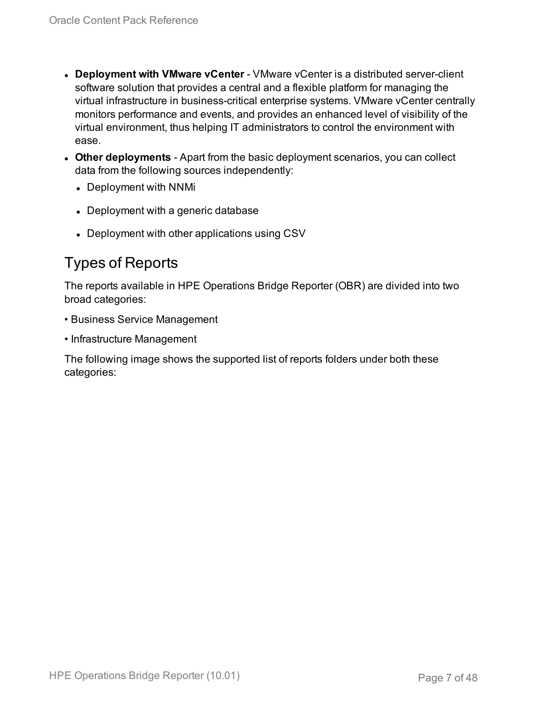- **.** Deployment with **VMware vCenter** VMware vCenter is a distributed server-client software solution that provides a central and a flexible platform for managing the virtual infrastructure in business-critical enterprise systems. VMware vCenter centrally monitors performance and events, and provides an enhanced level of visibility of the virtual environment, thus helping IT administrators to control the environment with ease.
- **Other deployments** Apart from the basic deployment scenarios, you can collect data from the following sources independently:
	- Deployment with NNMi
	- Deployment with a generic database
	- Deployment with other applications using CSV

### <span id="page-6-0"></span>Types of Reports

The reports available in HPE Operations Bridge Reporter (OBR) are divided into two broad categories:

- Business Service Management
- Infrastructure Management

The following image shows the supported list of reports folders under both these categories: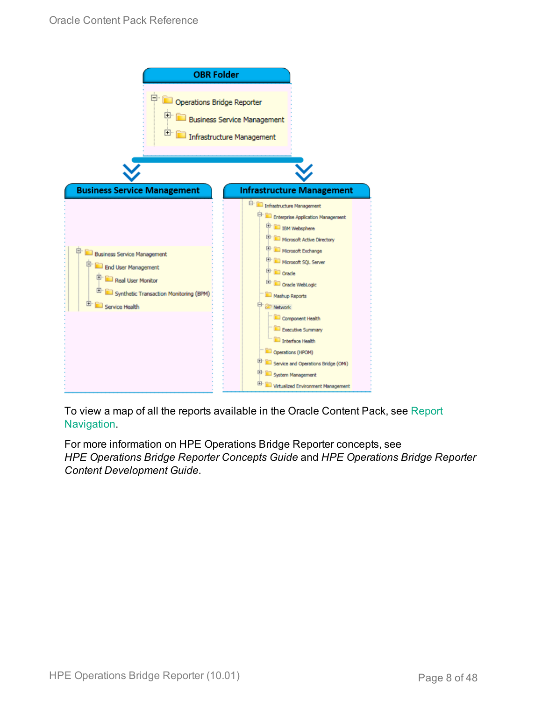

To view a map of all the reports available in the Oracle Content Pack, see [Report](#page-35-0) [Navigation](#page-35-0).

For more information on HPE Operations Bridge Reporter concepts, see *HPE Operations Bridge Reporter Concepts Guide* and *HPE Operations Bridge Reporter Content Development Guide*.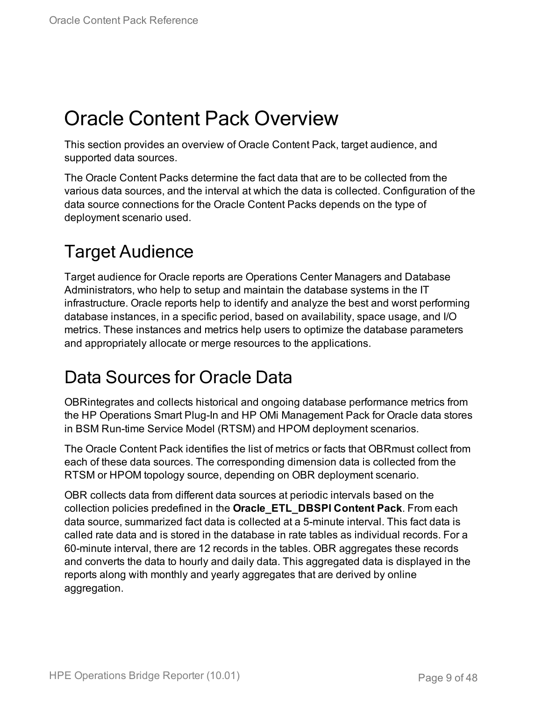# <span id="page-8-0"></span>Oracle Content Pack Overview

This section provides an overview of Oracle Content Pack, target audience, and supported data sources.

The Oracle Content Packs determine the fact data that are to be collected from the various data sources, and the interval at which the data is collected. Configuration of the data source connections for the Oracle Content Packs depends on the type of deployment scenario used.

## <span id="page-8-1"></span>Target Audience

Target audience for Oracle reports are Operations Center Managers and Database Administrators, who help to setup and maintain the database systems in the IT infrastructure. Oracle reports help to identify and analyze the best and worst performing database instances, in a specific period, based on availability, space usage, and I/O metrics. These instances and metrics help users to optimize the database parameters and appropriately allocate or merge resources to the applications.

## <span id="page-8-2"></span>Data Sources for Oracle Data

OBRintegrates and collects historical and ongoing database performance metrics from the HP Operations Smart Plug-In and HP OMi Management Pack for Oracle data stores in BSM Run-time Service Model (RTSM) and HPOM deployment scenarios.

The Oracle Content Pack identifies the list of metrics or facts that OBRmust collect from each of these data sources. The corresponding dimension data is collected from the RTSM or HPOM topology source, depending on OBR deployment scenario.

OBR collects data from different data sources at periodic intervals based on the collection policies predefined in the **Oracle\_ETL\_DBSPI Content Pack**. From each data source, summarized fact data is collected at a 5-minute interval. This fact data is called rate data and is stored in the database in rate tables as individual records. For a 60-minute interval, there are 12 records in the tables. OBR aggregates these records and converts the data to hourly and daily data. This aggregated data is displayed in the reports along with monthly and yearly aggregates that are derived by online aggregation.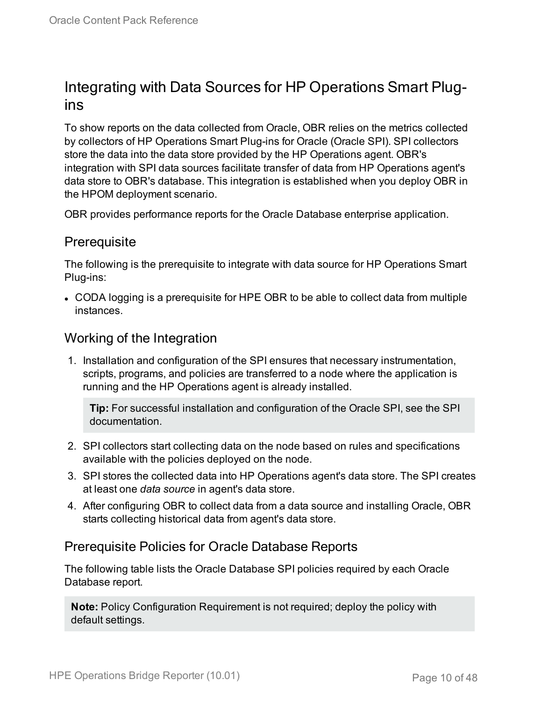### <span id="page-9-0"></span>Integrating with Data Sources for HP Operations Smart Plugins

To show reports on the data collected from Oracle, OBR relies on the metrics collected by collectors of HP Operations Smart Plug-ins for Oracle (Oracle SPI). SPI collectors store the data into the data store provided by the HP Operations agent. OBR's integration with SPI data sources facilitate transfer of data from HP Operations agent's data store to OBR's database. This integration is established when you deploy OBR in the HPOM deployment scenario.

<span id="page-9-1"></span>OBR provides performance reports for the Oracle Database enterprise application.

#### **Prerequisite**

The following is the prerequisite to integrate with data source for HP Operations Smart Plug-ins:

• CODA logging is a prerequisite for HPE OBR to be able to collect data from multiple instances.

#### <span id="page-9-2"></span>Working of the Integration

1. Installation and configuration of the SPI ensures that necessary instrumentation, scripts, programs, and policies are transferred to a node where the application is running and the HP Operations agent is already installed.

**Tip:** For successful installation and configuration of the Oracle SPI, see the SPI documentation.

- 2. SPI collectors start collecting data on the node based on rules and specifications available with the policies deployed on the node.
- 3. SPI stores the collected data into HP Operations agent's data store. The SPI creates at least one *data source* in agent's data store.
- 4. After configuring OBR to collect data from a data source and installing Oracle, OBR starts collecting historical data from agent's data store.

#### <span id="page-9-3"></span>Prerequisite Policies for Oracle Database Reports

The following table lists the Oracle Database SPI policies required by each Oracle Database report.

**Note:** Policy Configuration Requirement is not required; deploy the policy with default settings.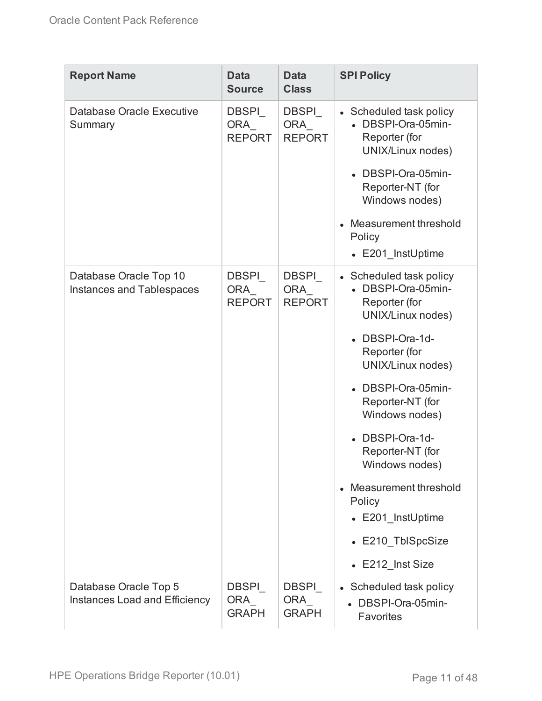| <b>Report Name</b>                                         | <b>Data</b><br><b>Source</b>         | <b>Data</b><br><b>Class</b>                 | <b>SPI Policy</b>                                                                                                                             |
|------------------------------------------------------------|--------------------------------------|---------------------------------------------|-----------------------------------------------------------------------------------------------------------------------------------------------|
| Database Oracle Executive<br>Summary                       | DBSPI<br><b>ORA</b><br><b>REPORT</b> | <b>DBSPI</b><br>ORA<br><b>REPORT</b>        | • Scheduled task policy<br>• DBSPI-Ora-05min-<br>Reporter (for<br>UNIX/Linux nodes)<br>DBSPI-Ora-05min-<br>Reporter-NT (for<br>Windows nodes) |
|                                                            |                                      |                                             | • Measurement threshold<br>Policy<br>• E201 InstUptime                                                                                        |
| Database Oracle Top 10<br><b>Instances and Tablespaces</b> | DBSPI<br><b>ORA</b><br><b>REPORT</b> | <b>DBSPI</b><br><b>ORA</b><br><b>REPORT</b> | • Scheduled task policy<br>• DBSPI-Ora-05min-<br>Reporter (for<br>UNIX/Linux nodes)                                                           |
|                                                            |                                      |                                             | • DBSPI-Ora-1d-<br>Reporter (for<br>UNIX/Linux nodes)                                                                                         |
|                                                            |                                      |                                             | DBSPI-Ora-05min-<br>Reporter-NT (for<br>Windows nodes)                                                                                        |
|                                                            |                                      |                                             | DBSPI-Ora-1d-<br>Reporter-NT (for<br>Windows nodes)                                                                                           |
|                                                            |                                      |                                             | Measurement threshold<br>Policy<br>• E201_InstUptime                                                                                          |
|                                                            |                                      |                                             | • E210 TblSpcSize                                                                                                                             |
|                                                            |                                      |                                             | $\cdot$ E212_Inst Size                                                                                                                        |
| Database Oracle Top 5<br>Instances Load and Efficiency     | DBSPI<br>ORA<br><b>GRAPH</b>         | <b>DBSPI</b><br>ORA_<br><b>GRAPH</b>        | • Scheduled task policy<br>• DBSPI-Ora-05min-<br><b>Favorites</b>                                                                             |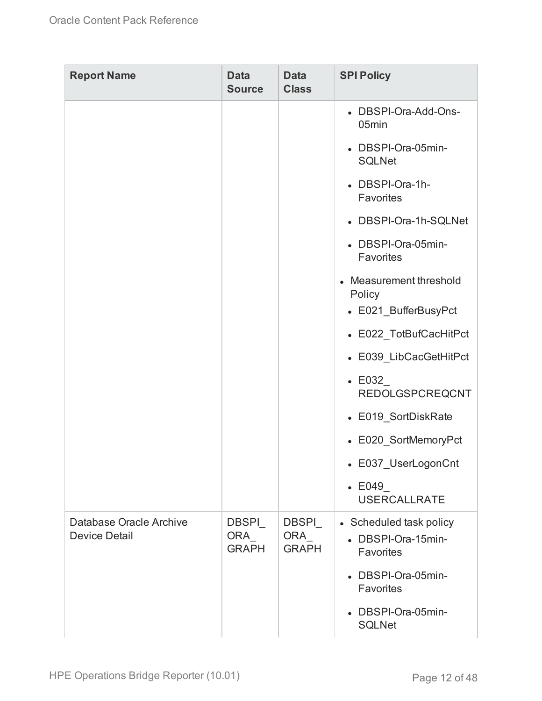| <b>Report Name</b>                              | <b>Data</b><br><b>Source</b>        | <b>Data</b><br><b>Class</b>          | <b>SPI Policy</b>                                          |
|-------------------------------------------------|-------------------------------------|--------------------------------------|------------------------------------------------------------|
|                                                 |                                     |                                      | • DBSPI-Ora-Add-Ons-<br>05 <sub>min</sub>                  |
|                                                 |                                     |                                      | • DBSPI-Ora-05min-<br><b>SQLNet</b>                        |
|                                                 |                                     |                                      | • DBSPI-Ora-1h-<br><b>Favorites</b>                        |
|                                                 |                                     |                                      | • DBSPI-Ora-1h-SQLNet                                      |
|                                                 |                                     |                                      | • DBSPI-Ora-05min-<br><b>Favorites</b>                     |
|                                                 |                                     |                                      | • Measurement threshold<br>Policy<br>• E021_BufferBusyPct  |
|                                                 |                                     |                                      | • E022_TotBufCacHitPct                                     |
|                                                 |                                     |                                      | • E039_LibCacGetHitPct                                     |
|                                                 |                                     |                                      | $\textcolor{blue}{\bullet}$ E032<br><b>REDOLGSPCREQCNT</b> |
|                                                 |                                     |                                      | • E019_SortDiskRate                                        |
|                                                 |                                     |                                      | • E020_SortMemoryPct                                       |
|                                                 |                                     |                                      | • E037_UserLogonCnt                                        |
|                                                 |                                     |                                      | $\textcolor{blue}{\bullet}$ E049<br><b>USERCALLRATE</b>    |
| Database Oracle Archive<br><b>Device Detail</b> | <b>DBSPI</b><br>ORA<br><b>GRAPH</b> | <b>DBSPI</b><br>ORA_<br><b>GRAPH</b> | • Scheduled task policy<br>• DBSPI-Ora-15min-<br>Favorites |
|                                                 |                                     |                                      | • DBSPI-Ora-05min-<br>Favorites                            |
|                                                 |                                     |                                      | • DBSPI-Ora-05min-<br><b>SQLNet</b>                        |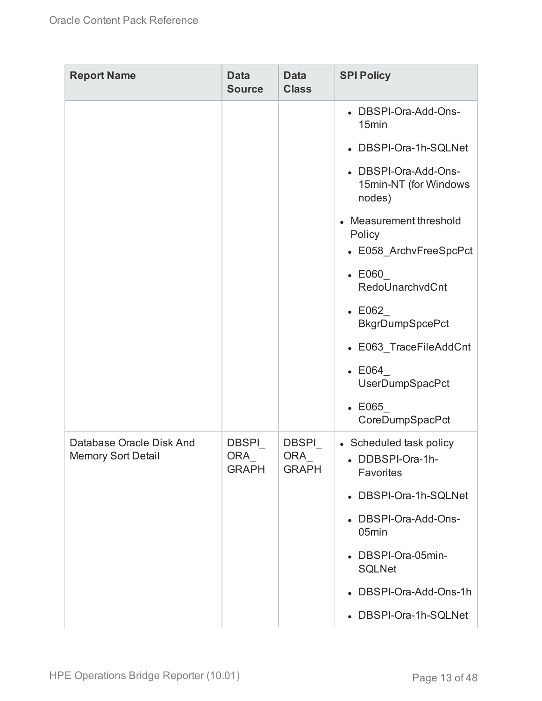| <b>Report Name</b>                                    | <b>Data</b><br><b>Source</b>         | <b>Data</b><br><b>Class</b>          | <b>SPI Policy</b>                                                      |
|-------------------------------------------------------|--------------------------------------|--------------------------------------|------------------------------------------------------------------------|
|                                                       |                                      |                                      | • DBSPI-Ora-Add-Ons-<br>15min                                          |
|                                                       |                                      |                                      | • DBSPI-Ora-1h-SQLNet                                                  |
|                                                       |                                      |                                      | • DBSPI-Ora-Add-Ons-<br>15min-NT (for Windows<br>nodes)                |
|                                                       |                                      |                                      | Measurement threshold<br>$\bullet$<br>Policy<br>• E058_ArchvFreeSpcPct |
|                                                       |                                      |                                      | $\textcolor{blue}{\bullet}$ E060                                       |
|                                                       |                                      |                                      | RedoUnarchvdCnt                                                        |
|                                                       |                                      |                                      | $\textcolor{blue}{\bullet}$ E062<br><b>BkgrDumpSpcePct</b>             |
|                                                       |                                      |                                      | • E063_TraceFileAddCnt                                                 |
|                                                       |                                      |                                      | $\textdegree$ E064<br>UserDumpSpacPct                                  |
|                                                       |                                      |                                      | $\textcolor{blue}{\bullet}\ \mathsf{E065}$<br>CoreDumpSpacPct          |
| Database Oracle Disk And<br><b>Memory Sort Detail</b> | <b>DBSPI</b><br>ORA_<br><b>GRAPH</b> | <b>DBSPI</b><br>ORA_<br><b>GRAPH</b> | • Scheduled task policy<br>• DDBSPI-Ora-1h-<br>Favorites               |
|                                                       |                                      |                                      | • DBSPI-Ora-1h-SQLNet                                                  |
|                                                       |                                      |                                      | • DBSPI-Ora-Add-Ons-<br>05min                                          |
|                                                       |                                      |                                      | • DBSPI-Ora-05min-<br><b>SQLNet</b>                                    |
|                                                       |                                      |                                      | • DBSPI-Ora-Add-Ons-1h                                                 |
|                                                       |                                      |                                      | • DBSPI-Ora-1h-SQLNet                                                  |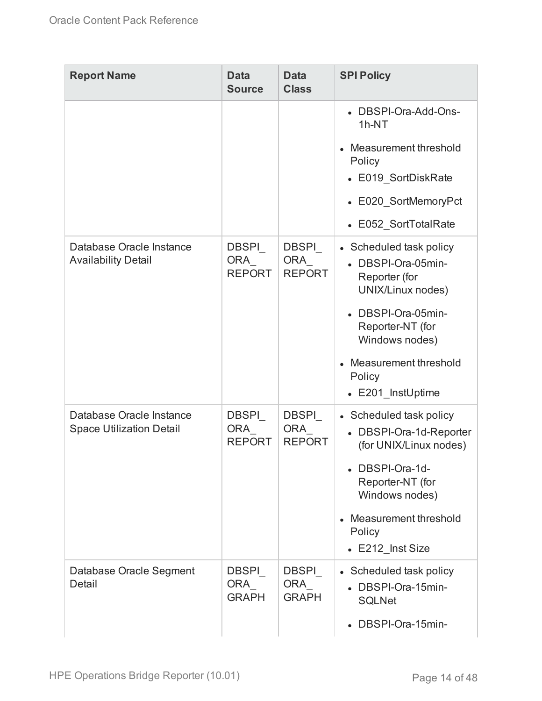| <b>Report Name</b>                                          | <b>Data</b><br><b>Source</b>         | <b>Data</b><br><b>Class</b>                 | <b>SPI Policy</b>                                                                                                                                                                                       |
|-------------------------------------------------------------|--------------------------------------|---------------------------------------------|---------------------------------------------------------------------------------------------------------------------------------------------------------------------------------------------------------|
|                                                             |                                      |                                             | • DBSPI-Ora-Add-Ons-<br>$1h-NT$<br>Measurement threshold<br>Policy<br>• E019_SortDiskRate<br>• E020 SortMemoryPct<br>• E052_SortTotalRate                                                               |
| Database Oracle Instance<br><b>Availability Detail</b>      | <b>DBSPI</b><br>ORA<br><b>REPORT</b> | <b>DBSPI</b><br><b>ORA</b><br><b>REPORT</b> | • Scheduled task policy<br>• DBSPI-Ora-05min-<br>Reporter (for<br>UNIX/Linux nodes)<br>• DBSPI-Ora-05min-<br>Reporter-NT (for<br>Windows nodes)<br>Measurement threshold<br>Policy<br>• E201_InstUptime |
| Database Oracle Instance<br><b>Space Utilization Detail</b> | DBSPI<br>ORA<br><b>REPORT</b>        | <b>DBSPI</b><br><b>ORA</b><br><b>REPORT</b> | • Scheduled task policy<br>• DBSPI-Ora-1d-Reporter<br>(for UNIX/Linux nodes)<br>• DBSPI-Ora-1d-<br>Reporter-NT (for<br>Windows nodes)<br>Measurement threshold<br>Policy<br>• E212 Inst Size            |
| Database Oracle Segment<br>Detail                           | <b>DBSPI</b><br>ORA<br><b>GRAPH</b>  | <b>DBSPI</b><br><b>ORA</b><br><b>GRAPH</b>  | • Scheduled task policy<br>• DBSPI-Ora-15min-<br><b>SQLNet</b><br>• DBSPI-Ora-15min-                                                                                                                    |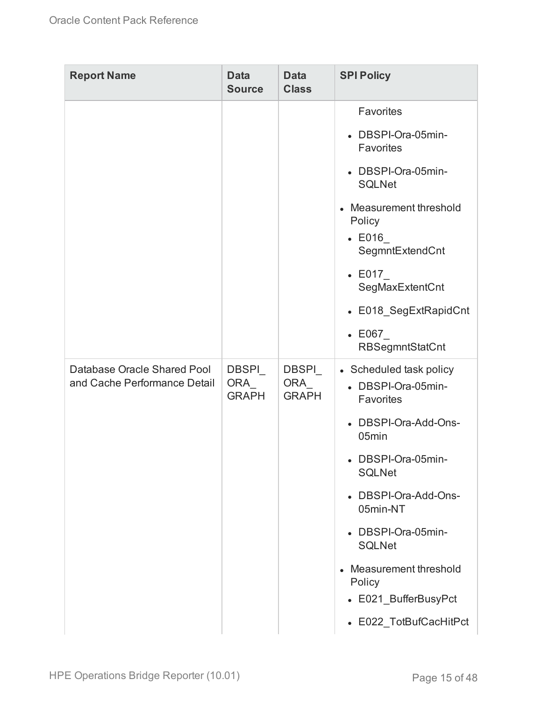| <b>Report Name</b>                                          | <b>Data</b><br><b>Source</b>  | <b>Data</b><br><b>Class</b>   | <b>SPI Policy</b>                                                               |
|-------------------------------------------------------------|-------------------------------|-------------------------------|---------------------------------------------------------------------------------|
|                                                             |                               |                               | Favorites                                                                       |
|                                                             |                               |                               | DBSPI-Ora-05min-<br>Favorites                                                   |
|                                                             |                               |                               | • DBSPI-Ora-05min-<br><b>SQLNet</b>                                             |
|                                                             |                               |                               | Measurement threshold<br>$\bullet$<br>Policy<br>$\cdot$ E016<br>SegmntExtendCnt |
|                                                             |                               |                               | $\text{-}$ E017<br>SegMaxExtentCnt                                              |
|                                                             |                               |                               | • E018_SegExtRapidCnt                                                           |
|                                                             |                               |                               | $\textcolor{red}{\bullet}\ \mathsf{E067}$<br><b>RBSegmntStatCnt</b>             |
| Database Oracle Shared Pool<br>and Cache Performance Detail | DBSPI_<br>ORA<br><b>GRAPH</b> | DBSPI_<br>ORA<br><b>GRAPH</b> | • Scheduled task policy<br>• DBSPI-Ora-05min-<br>Favorites                      |
|                                                             |                               |                               | DBSPI-Ora-Add-Ons-<br>05min                                                     |
|                                                             |                               |                               | • DBSPI-Ora-05min-<br><b>SQLNet</b>                                             |
|                                                             |                               |                               | • DBSPI-Ora-Add-Ons-<br>05min-NT                                                |
|                                                             |                               |                               | • DBSPI-Ora-05min-<br><b>SQLNet</b>                                             |
|                                                             |                               |                               | Measurement threshold<br>$\bullet$<br>Policy                                    |
|                                                             |                               |                               | • E021_BufferBusyPct                                                            |
|                                                             |                               |                               | • E022_TotBufCacHitPct                                                          |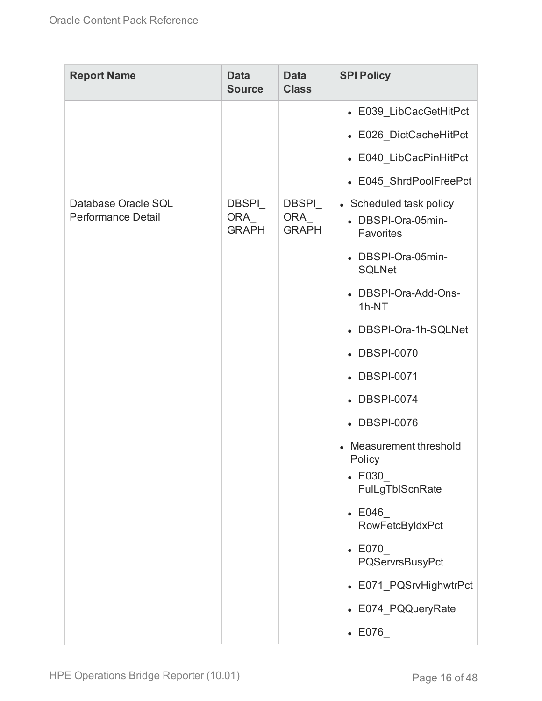| <b>Report Name</b>                               | <b>Data</b><br><b>Source</b>        | <b>Data</b><br><b>Class</b>         | <b>SPI Policy</b>                                                                                   |
|--------------------------------------------------|-------------------------------------|-------------------------------------|-----------------------------------------------------------------------------------------------------|
|                                                  |                                     |                                     | • E039_LibCacGetHitPct                                                                              |
|                                                  |                                     |                                     | • E026_DictCacheHitPct                                                                              |
|                                                  |                                     |                                     | • E040_LibCacPinHitPct                                                                              |
|                                                  |                                     |                                     | • E045_ShrdPoolFreePct                                                                              |
| Database Oracle SQL<br><b>Performance Detail</b> | <b>DBSPI</b><br>ORA<br><b>GRAPH</b> | <b>DBSPI</b><br>ORA<br><b>GRAPH</b> | • Scheduled task policy<br>• DBSPI-Ora-05min-<br>Favorites                                          |
|                                                  |                                     |                                     | • DBSPI-Ora-05min-<br><b>SQLNet</b>                                                                 |
|                                                  |                                     |                                     | • DBSPI-Ora-Add-Ons-<br>1h-NT                                                                       |
|                                                  |                                     |                                     | • DBSPI-Ora-1h-SQLNet                                                                               |
|                                                  |                                     |                                     | • DBSPI-0070                                                                                        |
|                                                  |                                     |                                     | • DBSPI-0071                                                                                        |
|                                                  |                                     |                                     | • DBSPI-0074                                                                                        |
|                                                  |                                     |                                     | • DBSPI-0076                                                                                        |
|                                                  |                                     |                                     | Measurement threshold<br>$\bullet$<br>Policy<br>$\textcolor{blue}{\bullet}$ E030<br>FulLgTbIScnRate |
|                                                  |                                     |                                     | $\textdegree$ E046<br>RowFetcByIdxPct                                                               |
|                                                  |                                     |                                     | $\textcolor{blue}{\bullet}$ E070<br>PQServrsBusyPct                                                 |
|                                                  |                                     |                                     | • E071_PQSrvHighwtrPct                                                                              |
|                                                  |                                     |                                     | • E074_PQQueryRate                                                                                  |
|                                                  |                                     |                                     | $\cdot$ E076                                                                                        |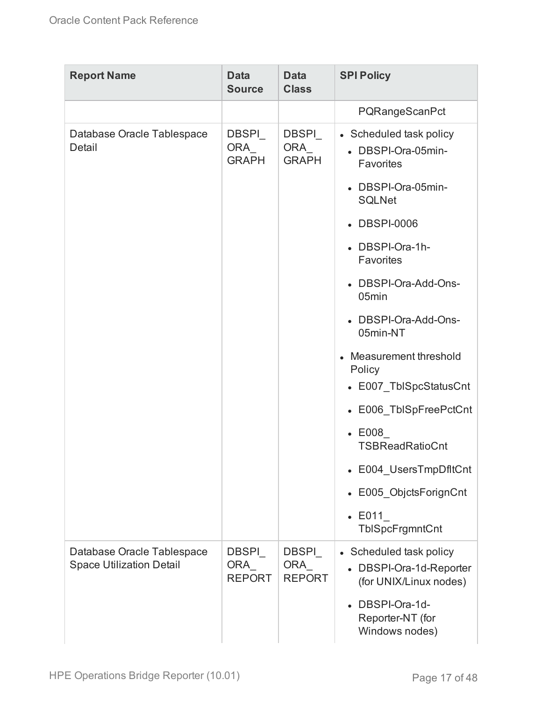| <b>Report Name</b>                                            | <b>Data</b><br><b>Source</b>         | <b>Data</b><br><b>Class</b>          | <b>SPI Policy</b>                                                            |
|---------------------------------------------------------------|--------------------------------------|--------------------------------------|------------------------------------------------------------------------------|
|                                                               |                                      |                                      | PQRangeScanPct                                                               |
| Database Oracle Tablespace<br>Detail                          | <b>DBSPI</b><br>ORA_<br><b>GRAPH</b> | <b>DBSPI</b><br>ORA<br><b>GRAPH</b>  | • Scheduled task policy<br>• DBSPI-Ora-05min-<br><b>Favorites</b>            |
|                                                               |                                      |                                      | • DBSPI-Ora-05min-<br><b>SQLNet</b>                                          |
|                                                               |                                      |                                      | • DBSPI-0006                                                                 |
|                                                               |                                      |                                      | • DBSPI-Ora-1h-<br>Favorites                                                 |
|                                                               |                                      |                                      | • DBSPI-Ora-Add-Ons-<br>05min                                                |
|                                                               |                                      |                                      | • DBSPI-Ora-Add-Ons-<br>05min-NT                                             |
|                                                               |                                      |                                      | Measurement threshold<br>Policy                                              |
|                                                               |                                      |                                      | • E007_TblSpcStatusCnt                                                       |
|                                                               |                                      |                                      | • E006_TblSpFreePctCnt                                                       |
|                                                               |                                      |                                      | $\textcolor{red}{\bullet}\ \mathsf{E008}$<br><b>TSBReadRatioCnt</b>          |
|                                                               |                                      |                                      | • E004_UsersTmpDfltCnt                                                       |
|                                                               |                                      |                                      | • E005_ObjctsForignCnt                                                       |
|                                                               |                                      |                                      | $\cdot$ E011<br>TbISpcFrgmntCnt                                              |
| Database Oracle Tablespace<br><b>Space Utilization Detail</b> | DBSPI<br><b>ORA</b><br><b>REPORT</b> | DBSPI<br><b>ORA</b><br><b>REPORT</b> | • Scheduled task policy<br>• DBSPI-Ora-1d-Reporter<br>(for UNIX/Linux nodes) |
|                                                               |                                      |                                      | DBSPI-Ora-1d-<br>Reporter-NT (for<br>Windows nodes)                          |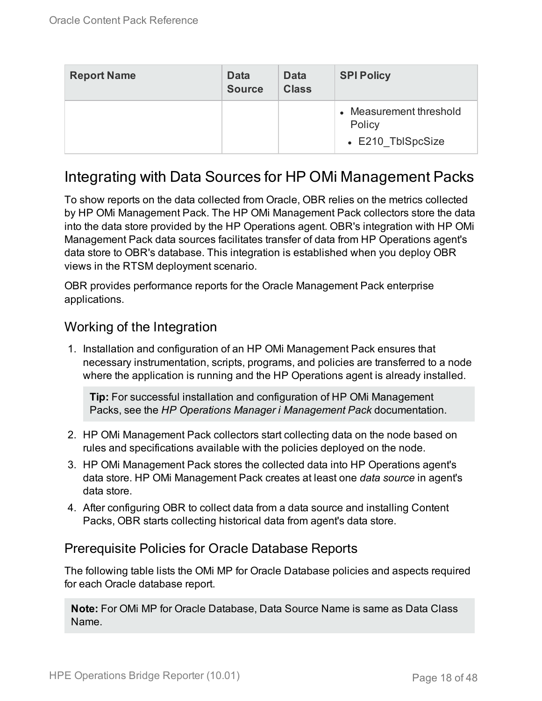| <b>Report Name</b> | <b>Data</b><br><b>Source</b> | <b>Data</b><br><b>Class</b> | <b>SPI Policy</b>                                      |
|--------------------|------------------------------|-----------------------------|--------------------------------------------------------|
|                    |                              |                             | • Measurement threshold<br>Policy<br>• E210 TblSpcSize |

### <span id="page-17-0"></span>Integrating with Data Sources for HP OMi Management Packs

To show reports on the data collected from Oracle, OBR relies on the metrics collected by HP OMi Management Pack. The HP OMi Management Pack collectors store the data into the data store provided by the HP Operations agent. OBR's integration with HP OMi Management Pack data sources facilitates transfer of data from HP Operations agent's data store to OBR's database. This integration is established when you deploy OBR views in the RTSM deployment scenario.

OBR provides performance reports for the Oracle Management Pack enterprise applications.

### <span id="page-17-1"></span>Working of the Integration

1. Installation and configuration of an HP OMi Management Pack ensures that necessary instrumentation, scripts, programs, and policies are transferred to a node where the application is running and the HP Operations agent is already installed.

**Tip:** For successful installation and configuration of HP OMi Management Packs, see the *HP Operations Manager i Management Pack* documentation.

- 2. HP OMi Management Pack collectors start collecting data on the node based on rules and specifications available with the policies deployed on the node.
- 3. HP OMi Management Pack stores the collected data into HP Operations agent's data store. HP OMi Management Pack creates at least one *data source* in agent's data store.
- 4. After configuring OBR to collect data from a data source and installing Content Packs, OBR starts collecting historical data from agent's data store.

### <span id="page-17-2"></span>Prerequisite Policies for Oracle Database Reports

The following table lists the OMi MP for Oracle Database policies and aspects required for each Oracle database report.

**Note:** For OMi MP for Oracle Database, Data Source Name is same as Data Class Name.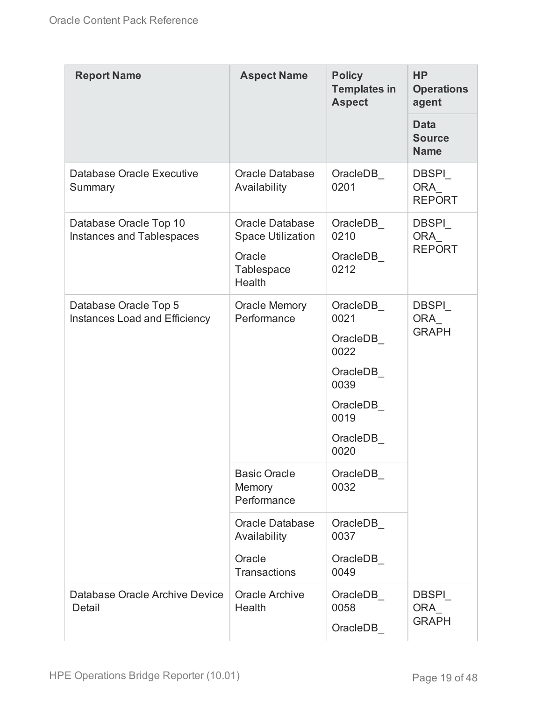| <b>Report Name</b>                                            | <b>Aspect Name</b>                                                                   | <b>Policy</b><br><b>Templates in</b><br><b>Aspect</b>                                             | <b>HP</b><br><b>Operations</b><br>agent     |
|---------------------------------------------------------------|--------------------------------------------------------------------------------------|---------------------------------------------------------------------------------------------------|---------------------------------------------|
|                                                               |                                                                                      |                                                                                                   | <b>Data</b><br><b>Source</b><br><b>Name</b> |
| Database Oracle Executive<br>Summary                          | <b>Oracle Database</b><br>Availability                                               | OracleDB<br>0201                                                                                  | <b>DBSPI</b><br><b>ORA</b><br><b>REPORT</b> |
| Database Oracle Top 10<br><b>Instances and Tablespaces</b>    | <b>Oracle Database</b><br><b>Space Utilization</b><br>Oracle<br>Tablespace<br>Health | OracleDB<br>0210<br>OracleDB<br>0212                                                              | <b>DBSPI</b><br>ORA<br><b>REPORT</b>        |
| Database Oracle Top 5<br><b>Instances Load and Efficiency</b> | <b>Oracle Memory</b><br>Performance                                                  | OracleDB<br>0021<br>OracleDB<br>0022<br>OracleDB<br>0039<br>OracleDB<br>0019<br>OracleDB_<br>0020 | <b>DBSPI</b><br>ORA<br><b>GRAPH</b>         |
|                                                               | <b>Basic Oracle</b><br>Memory<br>Performance                                         | OracleDB<br>0032                                                                                  |                                             |
|                                                               | <b>Oracle Database</b><br>Availability                                               | OracleDB<br>0037                                                                                  |                                             |
|                                                               | Oracle<br><b>Transactions</b>                                                        | OracleDB<br>0049                                                                                  |                                             |
| Database Oracle Archive Device<br>Detail                      | <b>Oracle Archive</b><br>Health                                                      | OracleDB<br>0058<br>OracleDB                                                                      | <b>DBSPI</b><br>ORA<br><b>GRAPH</b>         |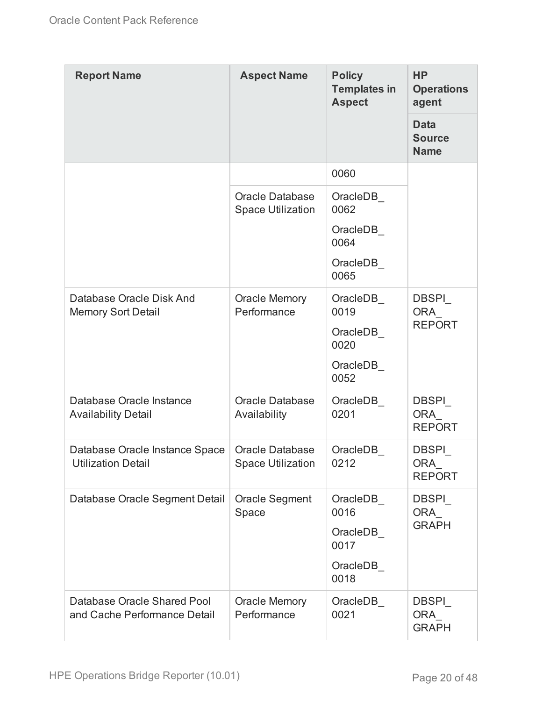| <b>Report Name</b>                                          | <b>Aspect Name</b>                                 | <b>Policy</b><br><b>Templates in</b><br><b>Aspect</b>    | <b>HP</b><br><b>Operations</b><br>agent     |
|-------------------------------------------------------------|----------------------------------------------------|----------------------------------------------------------|---------------------------------------------|
|                                                             |                                                    |                                                          | <b>Data</b><br><b>Source</b><br><b>Name</b> |
|                                                             |                                                    | 0060                                                     |                                             |
|                                                             | <b>Oracle Database</b><br><b>Space Utilization</b> | OracleDB_<br>0062                                        |                                             |
|                                                             |                                                    | OracleDB<br>0064                                         |                                             |
|                                                             |                                                    | OracleDB<br>0065                                         |                                             |
| Database Oracle Disk And<br><b>Memory Sort Detail</b>       | <b>Oracle Memory</b><br>Performance                | OracleDB<br>0019<br>OracleDB<br>0020<br>OracleDB         | <b>DBSPI</b><br><b>ORA</b><br><b>REPORT</b> |
|                                                             |                                                    | 0052                                                     |                                             |
| Database Oracle Instance<br><b>Availability Detail</b>      | <b>Oracle Database</b><br>Availability             | OracleDB<br>0201                                         | <b>DBSPI</b><br><b>ORA</b><br><b>REPORT</b> |
| Database Oracle Instance Space<br><b>Utilization Detail</b> | <b>Oracle Database</b><br><b>Space Utilization</b> | OracleDB<br>0212                                         | <b>DBSPI</b><br><b>ORA</b><br><b>REPORT</b> |
| Database Oracle Segment Detail                              | <b>Oracle Segment</b><br>Space                     | OracleDB<br>0016<br>OracleDB<br>0017<br>OracleDB<br>0018 | <b>DBSPI</b><br>ORA<br><b>GRAPH</b>         |
| Database Oracle Shared Pool<br>and Cache Performance Detail | <b>Oracle Memory</b><br>Performance                | OracleDB<br>0021                                         | <b>DBSPI</b><br>ORA<br><b>GRAPH</b>         |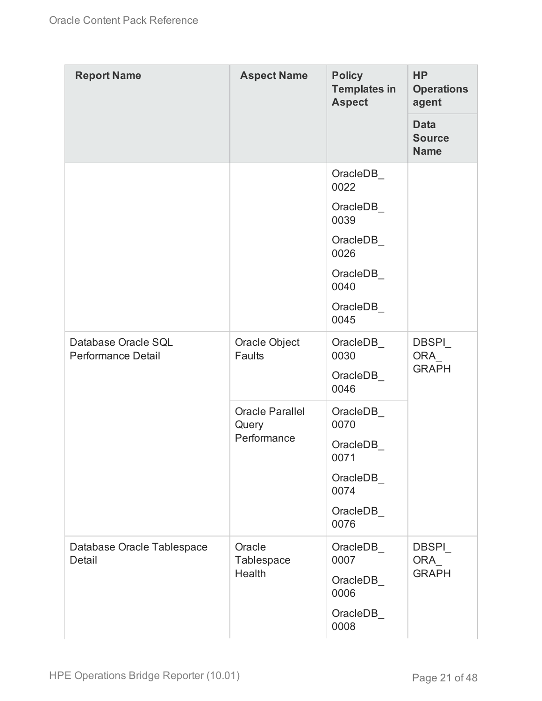| <b>Report Name</b>                        | <b>Aspect Name</b>                             | <b>Policy</b><br><b>Templates in</b><br><b>Aspect</b> | <b>HP</b><br><b>Operations</b><br>agent     |
|-------------------------------------------|------------------------------------------------|-------------------------------------------------------|---------------------------------------------|
|                                           |                                                |                                                       | <b>Data</b><br><b>Source</b><br><b>Name</b> |
|                                           |                                                | OracleDB<br>0022                                      |                                             |
|                                           |                                                | OracleDB<br>0039                                      |                                             |
|                                           |                                                | OracleDB_<br>0026                                     |                                             |
|                                           |                                                | OracleDB<br>0040                                      |                                             |
|                                           |                                                | OracleDB<br>0045                                      |                                             |
| Database Oracle SQL<br>Performance Detail | Oracle Object<br>Faults                        | OracleDB<br>0030                                      | <b>DBSPI</b><br><b>ORA</b><br><b>GRAPH</b>  |
|                                           |                                                | OracleDB_<br>0046                                     |                                             |
|                                           | <b>Oracle Parallel</b><br>Query<br>Performance | OracleDB<br>0070                                      |                                             |
|                                           |                                                | OracleDB<br>0071                                      |                                             |
|                                           |                                                | OracleDB_<br>0074                                     |                                             |
|                                           |                                                | OracleDB_<br>0076                                     |                                             |
| Database Oracle Tablespace<br>Detail      | Oracle<br>Tablespace<br>Health                 | OracleDB_<br>0007                                     | <b>DBSPI</b><br>ORA_<br><b>GRAPH</b>        |
|                                           |                                                | OracleDB_<br>0006                                     |                                             |
|                                           |                                                | OracleDB<br>0008                                      |                                             |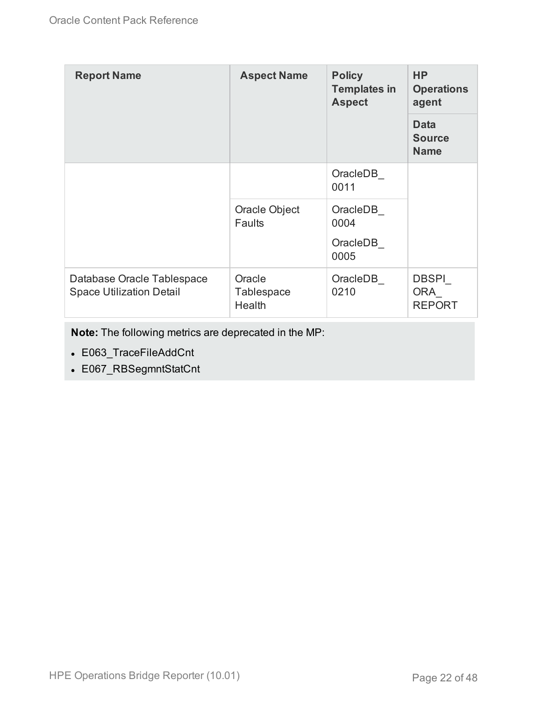| <b>Report Name</b>                                            | <b>Aspect Name</b>                    | <b>Policy</b><br><b>Templates in</b><br><b>Aspect</b> | <b>HP</b><br><b>Operations</b><br>agent     |
|---------------------------------------------------------------|---------------------------------------|-------------------------------------------------------|---------------------------------------------|
|                                                               |                                       |                                                       | <b>Data</b><br><b>Source</b><br><b>Name</b> |
|                                                               |                                       | OracleDB<br>0011                                      |                                             |
|                                                               | Oracle Object<br><b>Faults</b>        | OracleDB<br>0004<br>OracleDB<br>0005                  |                                             |
| Database Oracle Tablespace<br><b>Space Utilization Detail</b> | Oracle<br><b>Tablespace</b><br>Health | OracleDB<br>0210                                      | <b>DBSPI</b><br><b>ORA</b><br><b>REPORT</b> |

**Note:** The following metrics are deprecated in the MP:

- E063\_TraceFileAddCnt
- E067\_RBSegmntStatCnt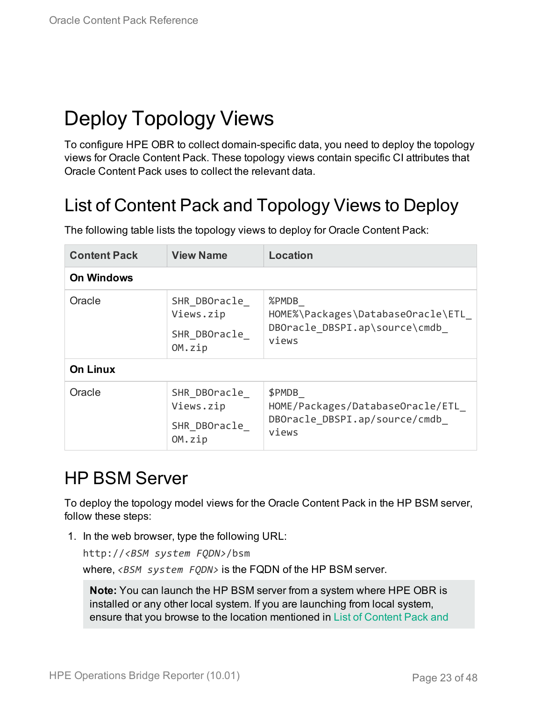# <span id="page-22-0"></span>Deploy Topology Views

To configure HPE OBR to collect domain-specific data, you need to deploy the topology views for Oracle Content Pack. These topology views contain specific CI attributes that Oracle Content Pack uses to collect the relevant data.

## <span id="page-22-1"></span>List of Content Pack and Topology Views to Deploy

| <b>Content Pack</b> | <b>View Name</b>                                    | <b>Location</b>                                                                       |  |  |
|---------------------|-----------------------------------------------------|---------------------------------------------------------------------------------------|--|--|
| <b>On Windows</b>   |                                                     |                                                                                       |  |  |
| Oracle              | SHR DBOracle<br>Views.zip<br>SHR DBOracle<br>OM.zip | %PMDB<br>HOME%\Packages\DatabaseOracle\ETL<br>DBOracle_DBSPI.ap\source\cmdb_<br>views |  |  |
| <b>On Linux</b>     |                                                     |                                                                                       |  |  |
| Oracle              | SHR DBOracle<br>Views.zip<br>SHR DBOracle<br>OM.zip | \$PMDB<br>HOME/Packages/DatabaseOracle/ETL<br>DBOracle DBSPI.ap/source/cmdb<br>views  |  |  |

The following table lists the topology views to deploy for Oracle Content Pack:

## <span id="page-22-2"></span>HP BSM Server

To deploy the topology model views for the Oracle Content Pack in the HP BSM server, follow these steps:

1. In the web browser, type the following URL:

```
http://<BSM system FQDN>/bsm
```
where, *<BSM system FQDN>* is the FQDN of the HP BSM server.

**Note:** You can launch the HP BSM server from a system where HPE OBR is installed or any other local system. If you are launching from local system, ensure that you browse to the location mentioned in List of [Content](#page-22-1) Pack and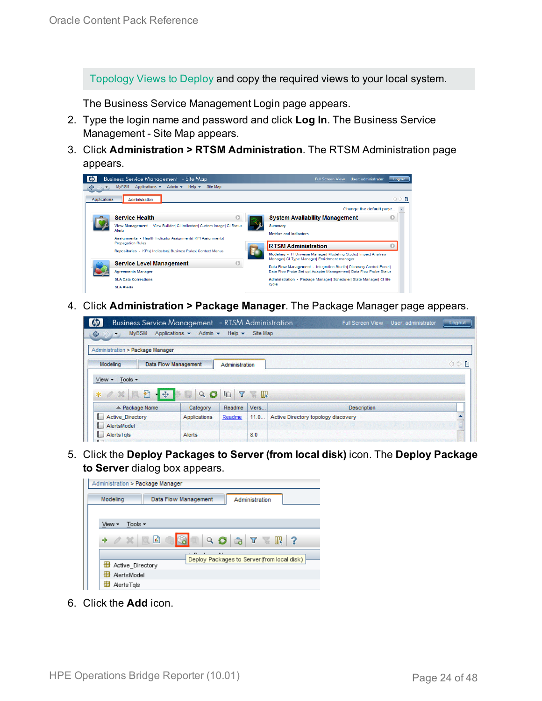[Topology](#page-22-1) Views to Deploy and copy the required views to your local system.

The Business Service Management Login page appears.

- 2. Type the login name and password and click **Log In**. The Business Service Management - Site Map appears.
- 3. Click **Administration > RTSM Administration**. The RTSM Administration page appears.



4. Click **Administration > Package Manager**. The Package Manager page appears.

| $\omega$<br><b>Business Service Management</b> - RTSM Administration |                                       |                           |              | <b>Full Screen View</b>             | User: administrator | Logout   |
|----------------------------------------------------------------------|---------------------------------------|---------------------------|--------------|-------------------------------------|---------------------|----------|
| <b>MyBSM</b><br>♦<br>$\ket{c}$<br>$\overline{\phantom{a}}$           | Applications $\star$<br>Admin $\star$ | Help $\blacktriangledown$ | Site Map     |                                     |                     |          |
| Administration > Package Manager                                     |                                       |                           |              |                                     |                     |          |
| Modeling                                                             | <b>Data Flow Management</b>           | Administration            |              |                                     |                     | OD.<br>E |
| Tools -<br>$View -$                                                  |                                       |                           |              |                                     |                     |          |
| $-1.5$<br>골<br>$*$ $\alpha$ $\alpha$<br>네요                           | $\alpha$<br>0                         | $\sqrt{ }$<br>40          | <b>IF IT</b> |                                     |                     |          |
| ≐ Package Name                                                       | Category                              | Readme                    | Vers         | <b>Description</b>                  |                     |          |
| Active Directory                                                     | Applications                          | Readme                    | 11.0         | Active Directory topology discovery |                     | ۸        |
| AlertsModel                                                          |                                       |                           |              |                                     |                     | E        |
| AlertsTals<br>$\mathbf{H}$                                           | Alerts                                |                           | 8.0          |                                     |                     |          |

5. Click the **Deploy Packages to Server (from local disk)** icon. The **Deploy Package to Server** dialog box appears.



6. Click the **Add** icon.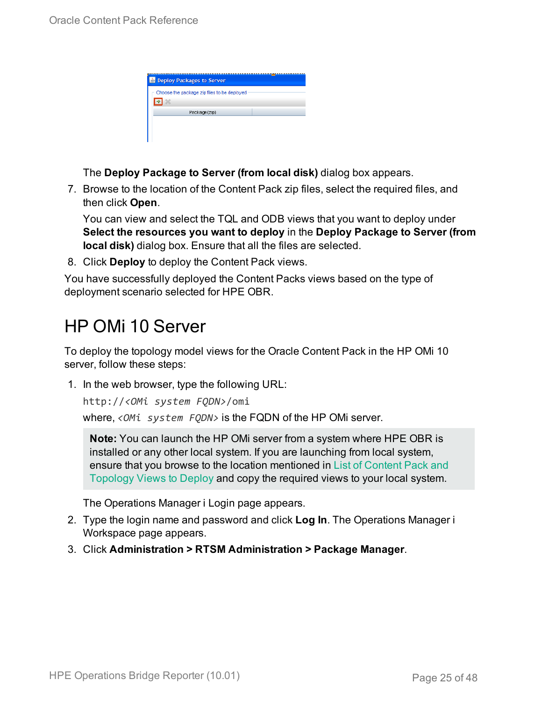| <b>Deploy Packages to Server</b>            |  |
|---------------------------------------------|--|
| Choose the package zip files to be deployed |  |
| Package(zip)                                |  |
|                                             |  |
|                                             |  |

The **Deploy Package to Server (from local disk)** dialog box appears.

7. Browse to the location of the Content Pack zip files, select the required files, and then click **Open**.

You can view and select the TQL and ODB views that you want to deploy under **Select the resources you want to deploy** in the **Deploy Package to Server (from local disk)** dialog box. Ensure that all the files are selected.

8. Click **Deploy** to deploy the Content Pack views.

You have successfully deployed the Content Packs views based on the type of deployment scenario selected for HPE OBR.

## <span id="page-24-0"></span>HP OMi 10 Server

To deploy the topology model views for the Oracle Content Pack in the HP OMi 10 server, follow these steps:

1. In the web browser, type the following URL:

```
http://<OMi system FQDN>/omi
```
where, *<OMi system FQDN>* is the FQDN of the HP OMi server.

**Note:** You can launch the HP OMi server from a system where HPE OBR is installed or any other local system. If you are launching from local system, ensure that you browse to the location mentioned in List of [Content](#page-22-1) Pack and [Topology](#page-22-1) Views to Deploy and copy the required views to your local system.

The Operations Manager i Login page appears.

- 2. Type the login name and password and click **Log In**. The Operations Manager i Workspace page appears.
- 3. Click **Administration > RTSM Administration > Package Manager**.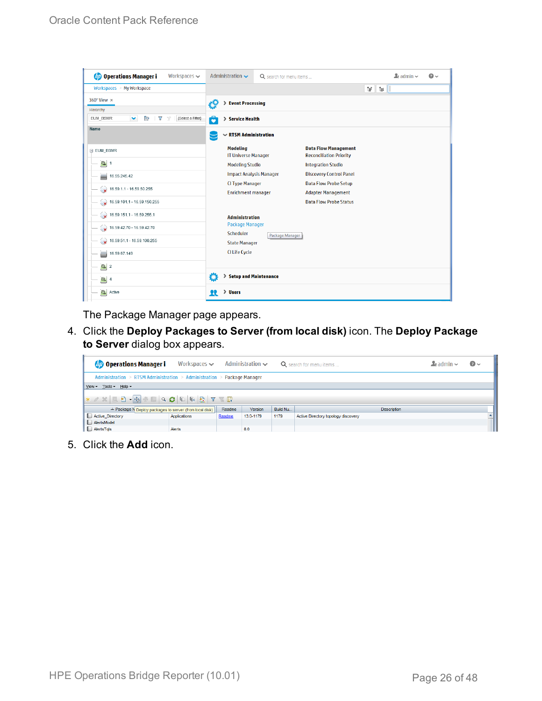| <b>Operations Manager i</b><br>Workspaces $\smile$                                   | Administration $\sim$                         | Q search for menu items        |                                                               |            | $\Delta$ admin $\sim$ | $\Omega$ |
|--------------------------------------------------------------------------------------|-----------------------------------------------|--------------------------------|---------------------------------------------------------------|------------|-----------------------|----------|
| Workspaces $>$ My Workspace                                                          |                                               |                                |                                                               | Ħ.<br>N. ∥ |                       |          |
| 360° View x                                                                          | <b>Event Processing</b>                       |                                |                                                               |            |                       |          |
| Hierarchy                                                                            |                                               |                                |                                                               |            |                       |          |
| [Select a Filter]<br>EUM_BSMR<br>$\checkmark$<br>P.<br>$\overline{\mathbf{Y}}$<br>7/ | 6<br>> Service Health                         |                                |                                                               |            |                       |          |
| Name                                                                                 | $\sim$ RTSM Administration                    |                                |                                                               |            |                       |          |
| E EUM_BSMR                                                                           | <b>Modeling</b><br><b>IT Universe Manager</b> |                                | <b>Data Flow Management</b><br><b>Reconciliation Priority</b> |            |                       |          |
| $\boxed{0}$ 1                                                                        | <b>Modeling Studio</b>                        |                                | <b>Integration Studio</b>                                     |            |                       |          |
| Ë<br>16.55.245.42                                                                    |                                               | <b>Impact Analysis Manager</b> | <b>Discovery Control Panel</b>                                |            |                       |          |
| $\bullet$ 16.59.1.1 - 16.59.50.255                                                   | <b>CI Type Manager</b>                        |                                | <b>Data Flow Probe Setup</b>                                  |            |                       |          |
|                                                                                      | <b>Enrichment manager</b>                     |                                | <b>Adapter Management</b>                                     |            |                       |          |
| $\bigotimes$ 16.59.101.1 - 16.59.150.255                                             |                                               |                                | <b>Data Flow Probe Status</b>                                 |            |                       |          |
| $\bigcirc$ 16.59.151.1 - 16.59.255.1                                                 | <b>Administration</b>                         |                                |                                                               |            |                       |          |
| $16.59.42.70 - 16.59.42.70$                                                          | <b>Package Manager</b>                        |                                |                                                               |            |                       |          |
|                                                                                      | Scheduler                                     | Package Manager                |                                                               |            |                       |          |
| $\bigotimes$ 16.59.51.1 - 16.59.100.255                                              | <b>State Manager</b>                          |                                |                                                               |            |                       |          |
| 16.59.67.149<br>L)                                                                   | <b>CI Life Cycle</b>                          |                                |                                                               |            |                       |          |
| $\bigcirc$ 2                                                                         |                                               |                                |                                                               |            |                       |          |
| $\Theta$ 4                                                                           | Ö<br>> Setup and Maintenance                  |                                |                                                               |            |                       |          |
| $\mathbf{C}$<br>Active                                                               | > Users<br>п                                  |                                |                                                               |            |                       |          |

The Package Manager page appears.

4. Click the **Deploy Packages to Server (from local disk)** icon. The **Deploy Package to Server** dialog box appears.

| <b>Operations Manager i</b>                                             | Workspaces $\smile$ |        | Administration $\sim$ |          | Q search for menu items             | $\blacktriangle$ r admin $\blacktriangleright$ | $\odot$ |  |
|-------------------------------------------------------------------------|---------------------|--------|-----------------------|----------|-------------------------------------|------------------------------------------------|---------|--|
| Administration > RTSM Administration > Administration > Package Manager |                     |        |                       |          |                                     |                                                |         |  |
| View - Tools - Help -                                                   |                     |        |                       |          |                                     |                                                |         |  |
|                                                                         |                     |        |                       |          |                                     |                                                |         |  |
| ≐ Package N Deploy packages to server (from local disk)                 |                     | Readme | <b>Version</b>        | Build Nu | <b>Description</b>                  |                                                |         |  |
| Active_Directory                                                        | Applications        | Readme | 13.0-1179             | 1179     | Active Directory topology discovery |                                                |         |  |
| AlertsModel                                                             |                     |        |                       |          |                                     |                                                |         |  |
| AlertsTqls                                                              | Alerts              |        | 8.0                   |          |                                     |                                                |         |  |

5. Click the **Add** icon.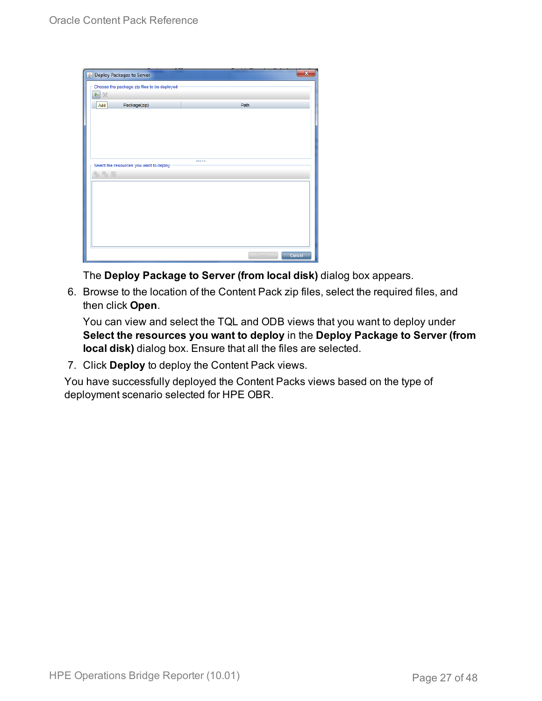| Deploy Packages to Server                   |        | ×      |
|---------------------------------------------|--------|--------|
| Choose the package zip files to be deployed |        |        |
| 串 ※                                         |        |        |
| Package(zip)<br>Add                         | Path   |        |
|                                             |        |        |
|                                             |        |        |
|                                             |        |        |
|                                             |        |        |
| Select the resources you want to deploy     |        |        |
| 名马路                                         |        |        |
|                                             |        |        |
|                                             |        |        |
|                                             |        |        |
|                                             |        |        |
|                                             |        |        |
|                                             |        |        |
|                                             |        |        |
|                                             | Deploy | Cancel |

The **Deploy Package to Server (from local disk)** dialog box appears.

6. Browse to the location of the Content Pack zip files, select the required files, and then click **Open**.

You can view and select the TQL and ODB views that you want to deploy under **Select the resources you want to deploy** in the **Deploy Package to Server (from local disk)** dialog box. Ensure that all the files are selected.

7. Click **Deploy** to deploy the Content Pack views.

You have successfully deployed the Content Packs views based on the type of deployment scenario selected for HPE OBR.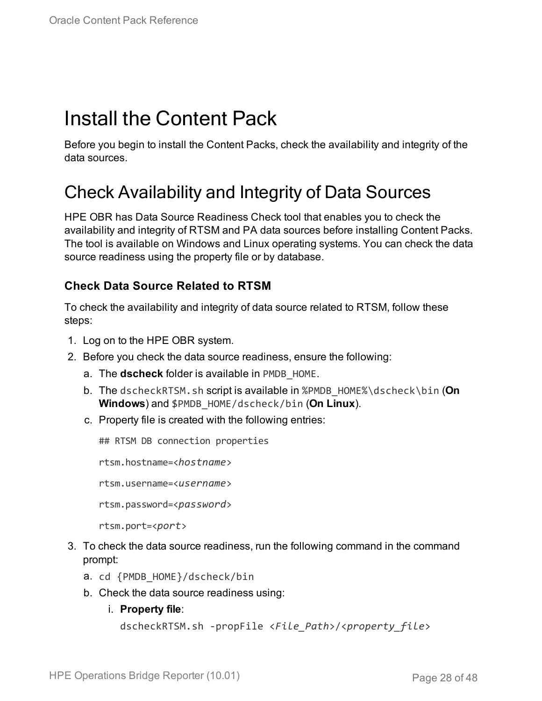# <span id="page-27-0"></span>Install the Content Pack

Before you begin to install the Content Packs, check the availability and integrity of the data sources.

### <span id="page-27-1"></span>Check Availability and Integrity of Data Sources

HPE OBR has Data Source Readiness Check tool that enables you to check the availability and integrity of RTSM and PA data sources before installing Content Packs. The tool is available on Windows and Linux operating systems. You can check the data source readiness using the property file or by database.

#### **Check Data Source Related to RTSM**

To check the availability and integrity of data source related to RTSM, follow these steps:

- 1. Log on to the HPE OBR system.
- 2. Before you check the data source readiness, ensure the following:
	- a. The **dscheck** folder is available in PMDB\_HOME.
	- b. The dscheckRTSM.sh script is available in %PMDB\_HOME%\dscheck\bin (**On Windows**) and \$PMDB\_HOME/dscheck/bin (**On Linux**).
	- c. Property file is created with the following entries:

## RTSM DB connection properties

rtsm.hostname=<*hostname*>

rtsm.username=<*username*>

rtsm.password=<*password*>

```
rtsm.port=<port>
```
- 3. To check the data source readiness, run the following command in the command prompt:
	- a. cd {PMDB\_HOME}/dscheck/bin
	- b. Check the data source readiness using:
		- i. **Property file**:

```
dscheckRTSM.sh -propFile <File_Path>/<property_file>
```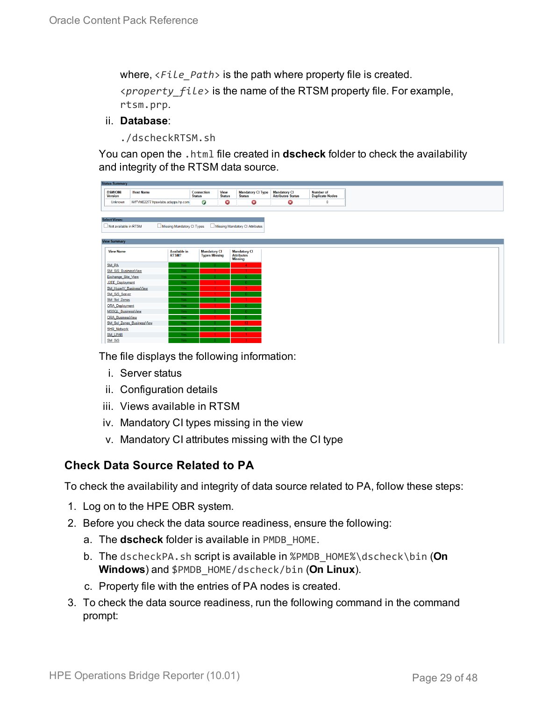where, <*File\_Path*> is the path where property file is created. <*property\_file*> is the name of the RTSM property file. For example, rtsm.prp.

#### ii. **Database**:

./dscheckRTSM.sh

You can open the .html file created in **dscheck** folder to check the availability and integrity of the RTSM data source.

| <b>Status Summary</b>                 |                                         |                                             |                              |                                           |                                           |
|---------------------------------------|-----------------------------------------|---------------------------------------------|------------------------------|-------------------------------------------|-------------------------------------------|
| <b>BSM/OMi</b><br><b>Version</b>      | <b>Host Name</b>                        | <b>Connection</b><br><b>Status</b>          | <b>View</b><br><b>Status</b> | <b>Mandatory CI Type</b><br><b>Status</b> | <b>Mandatory CI<br/>Attributes Status</b> |
| <b>Unknown</b>                        | IWFVM02277.hpswlabs.adapps.hp.com       | Ø                                           | ◶                            | ☺                                         | 0                                         |
|                                       |                                         |                                             |                              |                                           |                                           |
| <b>Select Views:</b>                  |                                         |                                             |                              |                                           |                                           |
|                                       |                                         |                                             |                              |                                           |                                           |
| Not available in RTSM                 | Missing Mandatory CI Types              |                                             |                              | Missing Mandatory CI Attributes           |                                           |
|                                       |                                         |                                             |                              |                                           |                                           |
| <b>View Summary</b>                   |                                         |                                             |                              |                                           |                                           |
| <b>View Name</b>                      | <b>Available in</b>                     |                                             |                              |                                           |                                           |
|                                       | RTSM?                                   | <b>Mandatory CI</b><br><b>Types Missing</b> |                              | <b>Mandatory CI</b><br><b>Attributes</b>  |                                           |
|                                       |                                         |                                             |                              | <b>Missing</b>                            |                                           |
| SM_PA                                 | Yes:                                    |                                             |                              | $\boldsymbol{A}$                          |                                           |
| SM SiS BusinessView                   | Yes.                                    |                                             |                              |                                           |                                           |
| Exchange Site View<br>J2EE Deployment | <b>Yes</b><br>Yes.                      |                                             |                              |                                           |                                           |
| SM_HyperV_BusinessView                | Yes.                                    |                                             |                              |                                           |                                           |
| SM_SiS_Server                         | Yes:                                    |                                             |                              |                                           |                                           |
| SM Sol Zones                          | Yes:                                    |                                             |                              |                                           |                                           |
| <b>ORA Deployment</b>                 | Yes:                                    |                                             |                              |                                           |                                           |
| MSSQL_BusinessView                    | Yes                                     |                                             |                              |                                           |                                           |
| <b>ORA</b> BusinessView               | Yes:                                    |                                             |                              |                                           |                                           |
|                                       | SM Sol Zones BusinessView<br><b>Yes</b> |                                             |                              | 12 <sub>12</sub>                          |                                           |
| <b>SHR_Network</b>                    | Yes:                                    |                                             |                              |                                           |                                           |
| <b>SM_LPAR</b>                        | Yes                                     |                                             |                              |                                           |                                           |
| SM SiS                                | Yes:                                    |                                             |                              |                                           |                                           |

The file displays the following information:

- i. Server status
- ii. Configuration details
- iii. Views available in RTSM
- iv. Mandatory CI types missing in the view
- v. Mandatory CI attributes missing with the CI type

#### **Check Data Source Related to PA**

To check the availability and integrity of data source related to PA, follow these steps:

- 1. Log on to the HPE OBR system.
- 2. Before you check the data source readiness, ensure the following:
	- a. The **dscheck** folder is available in PMDB\_HOME.
	- b. The dscheckPA.sh script is available in %PMDB\_HOME%\dscheck\bin (**On Windows**) and \$PMDB\_HOME/dscheck/bin (**On Linux**).
	- c. Property file with the entries of PA nodes is created.
- 3. To check the data source readiness, run the following command in the command prompt: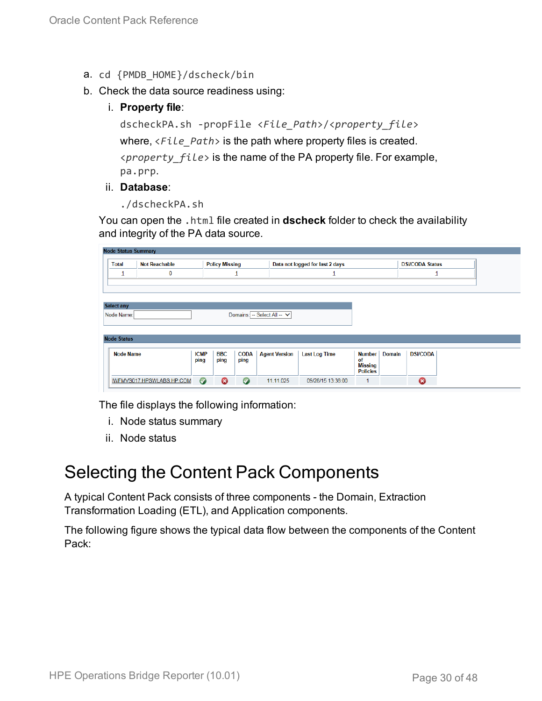- a. cd {PMDB\_HOME}/dscheck/bin
- b. Check the data source readiness using:
	- i. **Property file**:

```
dscheckPA.sh -propFile <File_Path>/<property_file>
where, <File_Path> is the path where property files is created.
<property_file> is the name of the PA property file. For example,
pa.prp.
```
#### ii. **Database**:

./dscheckPA.sh

You can open the .html file created in **dscheck** folder to check the availability and integrity of the PA data source.

| <b>Node Status Summary</b> |                      |             |                       |             |                             |                                 |                                   |                        |                 |  |
|----------------------------|----------------------|-------------|-----------------------|-------------|-----------------------------|---------------------------------|-----------------------------------|------------------------|-----------------|--|
| <b>Total</b>               | <b>Not Reachable</b> |             | <b>Policy Missing</b> |             |                             | Data not logged for last 2 days |                                   | <b>DSi/CODA Status</b> |                 |  |
| ∸                          | 0                    |             |                       |             |                             |                                 |                                   |                        |                 |  |
|                            |                      |             |                       |             |                             |                                 |                                   |                        |                 |  |
|                            |                      |             |                       |             |                             |                                 |                                   |                        |                 |  |
| <b>Select any</b>          |                      |             |                       |             |                             |                                 |                                   |                        |                 |  |
| Node Name:                 |                      |             |                       |             | Domains: -- Select All -- V |                                 |                                   |                        |                 |  |
|                            |                      |             |                       |             |                             |                                 |                                   |                        |                 |  |
|                            |                      |             |                       |             |                             |                                 |                                   |                        |                 |  |
| <b>Node Status</b>         |                      |             |                       |             |                             |                                 |                                   |                        |                 |  |
| <b>Node Name</b>           |                      | <b>ICMP</b> | <b>BBC</b>            | <b>CODA</b> | <b>Agent Version</b>        | <b>Last Log Time</b>            | <b>Number</b>                     | <b>Domain</b>          | <b>DSi/CODA</b> |  |
|                            |                      |             |                       |             |                             |                                 | of                                |                        |                 |  |
|                            |                      | ping        | ping                  | ping        |                             |                                 |                                   |                        |                 |  |
|                            |                      |             |                       |             |                             |                                 | <b>Missing</b><br><b>Policies</b> |                        |                 |  |

The file displays the following information:

- i. Node status summary
- ii. Node status

### <span id="page-29-0"></span>Selecting the Content Pack Components

A typical Content Pack consists of three components - the Domain, Extraction Transformation Loading (ETL), and Application components.

The following figure shows the typical data flow between the components of the Content Pack: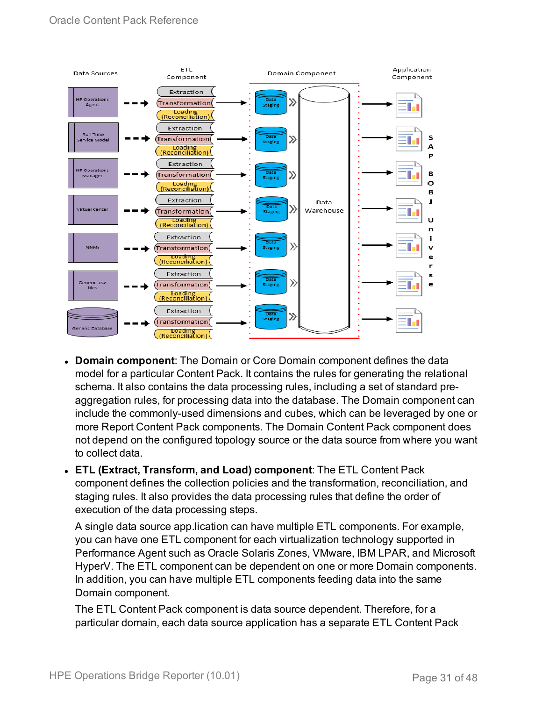

- **Domain component**: The Domain or Core Domain component defines the data model for a particular Content Pack. It contains the rules for generating the relational schema. It also contains the data processing rules, including a set of standard preaggregation rules, for processing data into the database. The Domain component can include the commonly-used dimensions and cubes, which can be leveraged by one or more Report Content Pack components. The Domain Content Pack component does not depend on the configured topology source or the data source from where you want to collect data.
- <sup>l</sup> **ETL (Extract, Transform, and Load) component**: The ETL Content Pack component defines the collection policies and the transformation, reconciliation, and staging rules. It also provides the data processing rules that define the order of execution of the data processing steps.

A single data source app.lication can have multiple ETL components. For example, you can have one ETL component for each virtualization technology supported in Performance Agent such as Oracle Solaris Zones, VMware, IBM LPAR, and Microsoft HyperV. The ETL component can be dependent on one or more Domain components. In addition, you can have multiple ETL components feeding data into the same Domain component.

The ETL Content Pack component is data source dependent. Therefore, for a particular domain, each data source application has a separate ETL Content Pack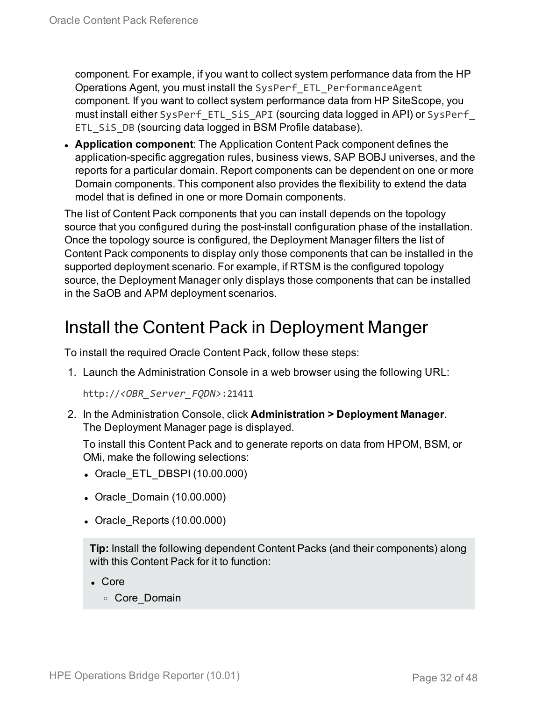component. For example, if you want to collect system performance data from the HP Operations Agent, you must install the SysPerf\_ETL\_PerformanceAgent component. If you want to collect system performance data from HP SiteScope, you must install either SysPerf\_ETL\_SiS\_API (sourcing data logged in API) or SysPerf\_ ETL SiS DB (sourcing data logged in BSM Profile database).

**Application component**: The Application Content Pack component defines the application-specific aggregation rules, business views, SAP BOBJ universes, and the reports for a particular domain. Report components can be dependent on one or more Domain components. This component also provides the flexibility to extend the data model that is defined in one or more Domain components.

The list of Content Pack components that you can install depends on the topology source that you configured during the post-install configuration phase of the installation. Once the topology source is configured, the Deployment Manager filters the list of Content Pack components to display only those components that can be installed in the supported deployment scenario. For example, if RTSM is the configured topology source, the Deployment Manager only displays those components that can be installed in the SaOB and APM deployment scenarios.

### <span id="page-31-0"></span>Install the Content Pack in Deployment Manger

To install the required Oracle Content Pack, follow these steps:

1. Launch the Administration Console in a web browser using the following URL:

http://*<OBR\_Server\_FQDN>*:21411

2. In the Administration Console, click **Administration > Deployment Manager**. The Deployment Manager page is displayed.

To install this Content Pack and to generate reports on data from HPOM, BSM, or OMi, make the following selections:

- Oracle ETL DBSPI (10.00.000)
- Oracle Domain (10.00.000)
- Oracle Reports (10.00.000)

**Tip:** Install the following dependent Content Packs (and their components) along with this Content Pack for it to function:

- Core
	- <sup>o</sup> Core\_Domain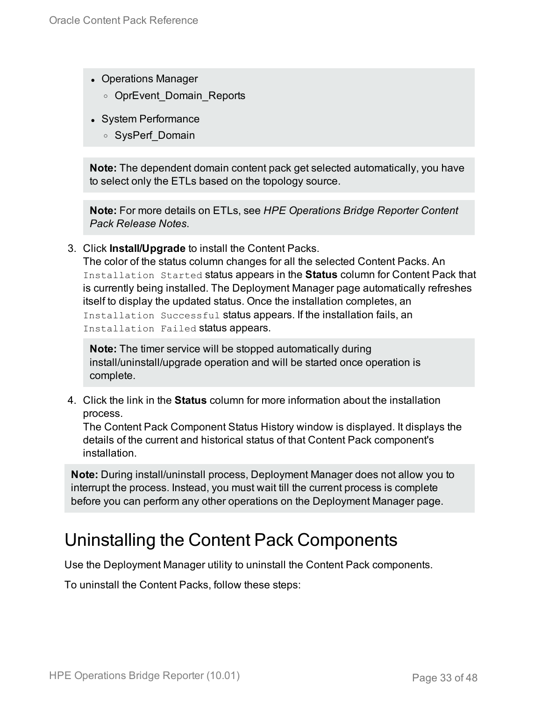- Operations Manager
	- o OprEvent Domain Reports
- System Performance
	- <sup>o</sup> SysPerf\_Domain

**Note:** The dependent domain content pack get selected automatically, you have to select only the ETLs based on the topology source.

**Note:** For more details on ETLs, see *HPE Operations Bridge Reporter Content Pack Release Notes*.

3. Click **Install/Upgrade** to install the Content Packs.

The color of the status column changes for all the selected Content Packs. An Installation Started status appears in the **Status** column for Content Pack that is currently being installed. The Deployment Manager page automatically refreshes itself to display the updated status. Once the installation completes, an Installation Successful status appears. If the installation fails, an Installation Failed status appears.

**Note:** The timer service will be stopped automatically during install/uninstall/upgrade operation and will be started once operation is complete.

4. Click the link in the **Status** column for more information about the installation process.

The Content Pack Component Status History window is displayed. It displays the details of the current and historical status of that Content Pack component's installation.

**Note:** During install/uninstall process, Deployment Manager does not allow you to interrupt the process. Instead, you must wait till the current process is complete before you can perform any other operations on the Deployment Manager page.

## <span id="page-32-0"></span>Uninstalling the Content Pack Components

Use the Deployment Manager utility to uninstall the Content Pack components.

To uninstall the Content Packs, follow these steps: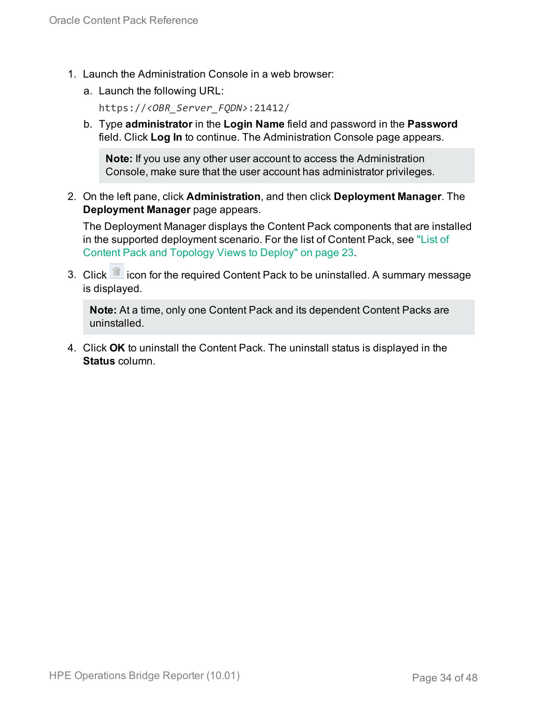- 1. Launch the Administration Console in a web browser:
	- a. Launch the following URL:

https://*<OBR\_Server\_FQDN>*:21412/

b. Type **administrator** in the **Login Name** field and password in the **Password** field. Click **Log In** to continue. The Administration Console page appears.

**Note:** If you use any other user account to access the Administration Console, make sure that the user account has administrator privileges.

2. On the left pane, click **Administration**, and then click **Deployment Manager**. The **Deployment Manager** page appears.

The Deployment Manager displays the Content Pack components that are installed in the supported deployment scenario. For the list of Content Pack, see ["List](#page-22-1) of Content Pack and [Topology](#page-22-1) Views to Deploy" on page 23.

3. Click icon for the required Content Pack to be uninstalled. A summary message is displayed.

**Note:** At a time, only one Content Pack and its dependent Content Packs are uninstalled.

4. Click **OK** to uninstall the Content Pack. The uninstall status is displayed in the **Status** column.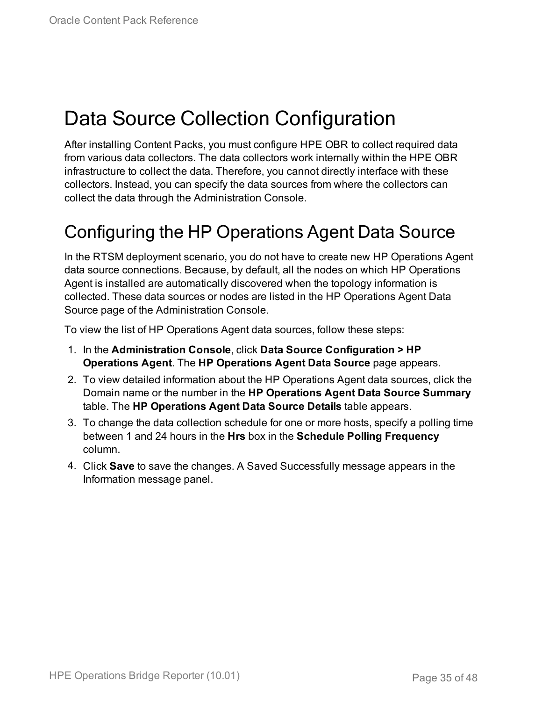# <span id="page-34-0"></span>Data Source Collection Configuration

After installing Content Packs, you must configure HPE OBR to collect required data from various data collectors. The data collectors work internally within the HPE OBR infrastructure to collect the data. Therefore, you cannot directly interface with these collectors. Instead, you can specify the data sources from where the collectors can collect the data through the Administration Console.

## <span id="page-34-1"></span>Configuring the HP Operations Agent Data Source

In the RTSM deployment scenario, you do not have to create new HP Operations Agent data source connections. Because, by default, all the nodes on which HP Operations Agent is installed are automatically discovered when the topology information is collected. These data sources or nodes are listed in the HP Operations Agent Data Source page of the Administration Console.

To view the list of HP Operations Agent data sources, follow these steps:

- 1. In the **Administration Console**, click **Data Source Configuration > HP Operations Agent**. The **HP Operations Agent Data Source** page appears.
- 2. To view detailed information about the HP Operations Agent data sources, click the Domain name or the number in the **HP Operations Agent Data Source Summary** table. The **HP Operations Agent Data Source Details** table appears.
- 3. To change the data collection schedule for one or more hosts, specify a polling time between 1 and 24 hours in the **Hrs** box in the **Schedule Polling Frequency** column.
- 4. Click **Save** to save the changes. A Saved Successfully message appears in the Information message panel.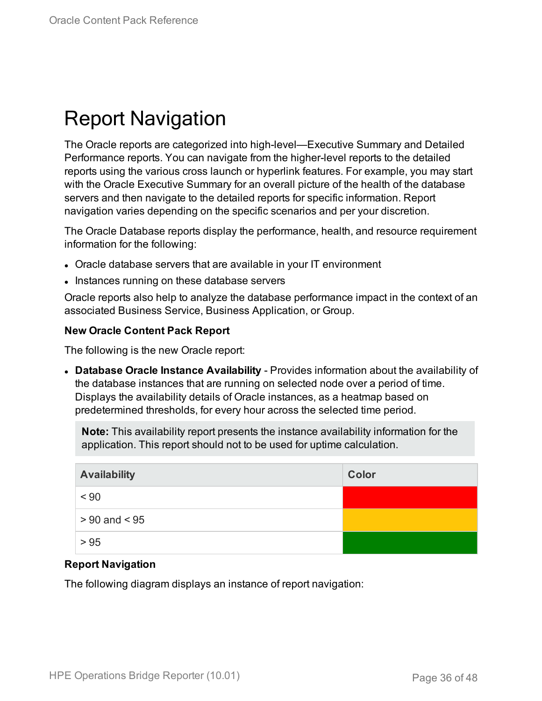# <span id="page-35-0"></span>Report Navigation

The Oracle reports are categorized into high-level—Executive Summary and Detailed Performance reports. You can navigate from the higher-level reports to the detailed reports using the various cross launch or hyperlink features. For example, you may start with the Oracle Executive Summary for an overall picture of the health of the database servers and then navigate to the detailed reports for specific information. Report navigation varies depending on the specific scenarios and per your discretion.

The Oracle Database reports display the performance, health, and resource requirement information for the following:

- Oracle database servers that are available in your IT environment
- Instances running on these database servers

Oracle reports also help to analyze the database performance impact in the context of an associated Business Service, Business Application, or Group.

#### **New Oracle Content Pack Report**

The following is the new Oracle report:

<sup>l</sup> **Database Oracle Instance Availability** - Provides information about the availability of the database instances that are running on selected node over a period of time. Displays the availability details of Oracle instances, as a heatmap based on predetermined thresholds, for every hour across the selected time period.

**Note:** This availability report presents the instance availability information for the application. This report should not to be used for uptime calculation.

| <b>Availability</b> | Color |
|---------------------|-------|
| < 90                |       |
| $> 90$ and $< 95$   |       |
| > 95                |       |

#### **Report Navigation**

The following diagram displays an instance of report navigation: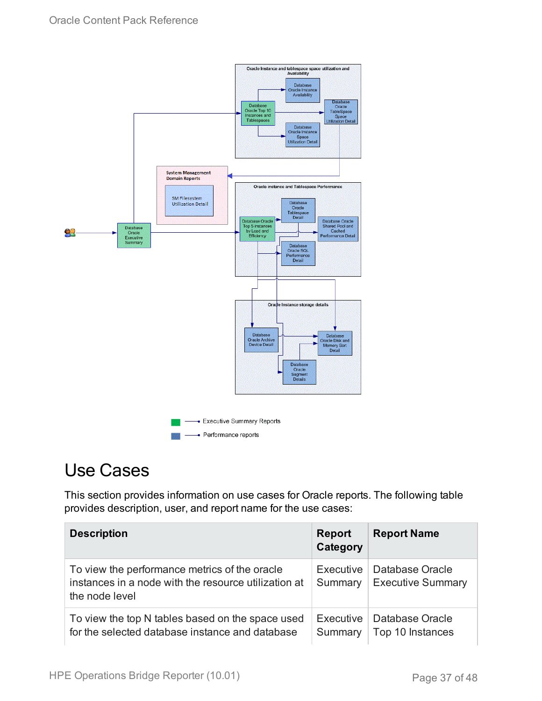

## <span id="page-36-0"></span>Use Cases

This section provides information on use cases for Oracle reports. The following table provides description, user, and report name for the use cases:

| <b>Description</b>                                                                                                      | <b>Report</b><br>Category | <b>Report Name</b>                          |
|-------------------------------------------------------------------------------------------------------------------------|---------------------------|---------------------------------------------|
| To view the performance metrics of the oracle<br>instances in a node with the resource utilization at<br>the node level | Executive<br>Summary      | Database Oracle<br><b>Executive Summary</b> |
| To view the top N tables based on the space used<br>for the selected database instance and database                     | Executive<br>Summary      | Database Oracle<br>Top 10 Instances         |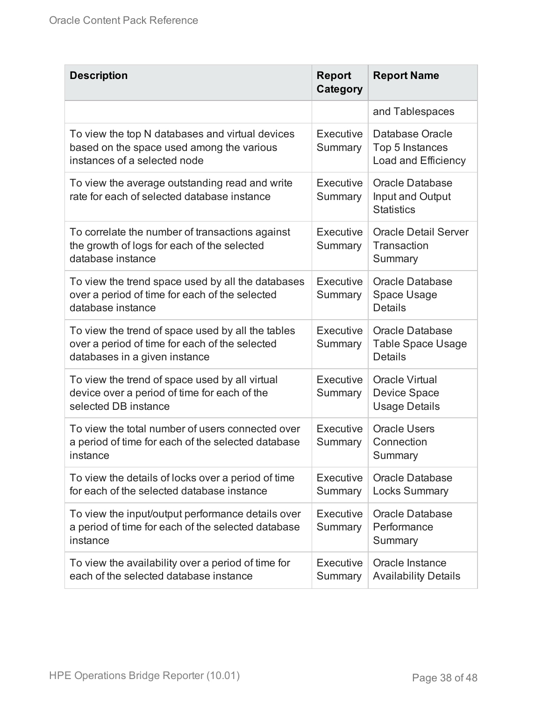| <b>Description</b>                                                                                                                   | <b>Report</b><br>Category | <b>Report Name</b>                                                   |
|--------------------------------------------------------------------------------------------------------------------------------------|---------------------------|----------------------------------------------------------------------|
|                                                                                                                                      |                           | and Tablespaces                                                      |
| To view the top N databases and virtual devices<br>based on the space used among the various<br>instances of a selected node         | Executive<br>Summary      | Database Oracle<br>Top 5 Instances<br>Load and Efficiency            |
| To view the average outstanding read and write<br>rate for each of selected database instance                                        | Executive<br>Summary      | <b>Oracle Database</b><br>Input and Output<br><b>Statistics</b>      |
| To correlate the number of transactions against<br>the growth of logs for each of the selected<br>database instance                  | Executive<br>Summary      | <b>Oracle Detail Server</b><br>Transaction<br>Summary                |
| To view the trend space used by all the databases<br>over a period of time for each of the selected<br>database instance             | Executive<br>Summary      | <b>Oracle Database</b><br>Space Usage<br><b>Details</b>              |
| To view the trend of space used by all the tables<br>over a period of time for each of the selected<br>databases in a given instance | Executive<br>Summary      | <b>Oracle Database</b><br><b>Table Space Usage</b><br><b>Details</b> |
| To view the trend of space used by all virtual<br>device over a period of time for each of the<br>selected DB instance               | Executive<br>Summary      | <b>Oracle Virtual</b><br><b>Device Space</b><br><b>Usage Details</b> |
| To view the total number of users connected over<br>a period of time for each of the selected database<br>instance                   | Executive<br>Summary      | <b>Oracle Users</b><br>Connection<br>Summary                         |
| To view the details of locks over a period of time<br>for each of the selected database instance                                     | Executive<br>Summary      | <b>Oracle Database</b><br><b>Locks Summary</b>                       |
| To view the input/output performance details over<br>a period of time for each of the selected database<br>instance                  | Executive<br>Summary      | <b>Oracle Database</b><br>Performance<br>Summary                     |
| To view the availability over a period of time for<br>each of the selected database instance                                         | Executive<br>Summary      | Oracle Instance<br><b>Availability Details</b>                       |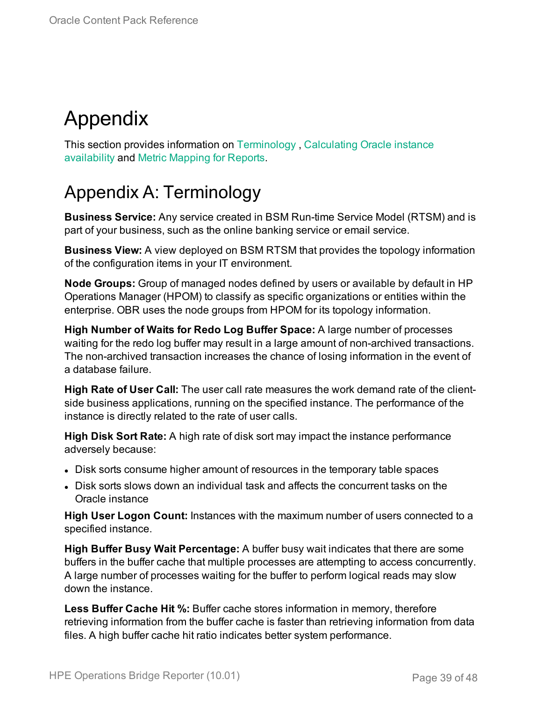# <span id="page-38-0"></span>Appendix

This section provides information on [Terminology](#page-38-1) , [Calculating](#page-44-0) Oracle instance [availability](#page-44-0) and Metric [Mapping](#page-45-0) for Reports.

## <span id="page-38-1"></span>Appendix A: Terminology

**Business Service:** Any service created in BSM Run-time Service Model (RTSM) and is part of your business, such as the online banking service or email service.

**Business View:** A view deployed on BSM RTSM that provides the topology information of the configuration items in your IT environment.

**Node Groups:** Group of managed nodes defined by users or available by default in HP Operations Manager (HPOM) to classify as specific organizations or entities within the enterprise. OBR uses the node groups from HPOM for its topology information.

**High Number of Waits for Redo Log Buffer Space:** A large number of processes waiting for the redo log buffer may result in a large amount of non-archived transactions. The non-archived transaction increases the chance of losing information in the event of a database failure.

**High Rate of User Call:** The user call rate measures the work demand rate of the clientside business applications, running on the specified instance. The performance of the instance is directly related to the rate of user calls.

**High Disk Sort Rate:** A high rate of disk sort may impact the instance performance adversely because:

- Disk sorts consume higher amount of resources in the temporary table spaces
- Disk sorts slows down an individual task and affects the concurrent tasks on the Oracle instance

**High User Logon Count:** Instances with the maximum number of users connected to a specified instance.

**High Buffer Busy Wait Percentage:** A buffer busy wait indicates that there are some buffers in the buffer cache that multiple processes are attempting to access concurrently. A large number of processes waiting for the buffer to perform logical reads may slow down the instance.

**Less Buffer Cache Hit %:** Buffer cache stores information in memory, therefore retrieving information from the buffer cache is faster than retrieving information from data files. A high buffer cache hit ratio indicates better system performance.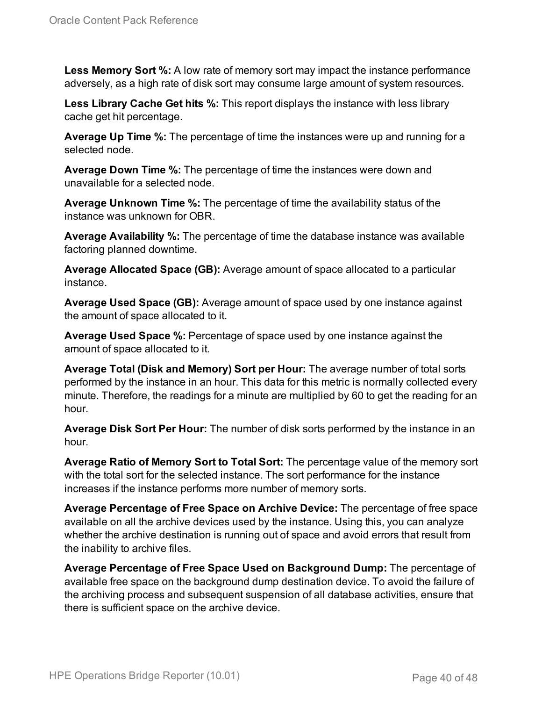**Less Memory Sort %:** A low rate of memory sort may impact the instance performance adversely, as a high rate of disk sort may consume large amount of system resources.

**Less Library Cache Get hits %:** This report displays the instance with less library cache get hit percentage.

**Average Up Time %:** The percentage of time the instances were up and running for a selected node.

**Average Down Time %:** The percentage of time the instances were down and unavailable for a selected node.

**Average Unknown Time %:** The percentage of time the availability status of the instance was unknown for OBR.

**Average Availability %:** The percentage of time the database instance was available factoring planned downtime.

**Average Allocated Space (GB):** Average amount of space allocated to a particular instance.

**Average Used Space (GB):** Average amount of space used by one instance against the amount of space allocated to it.

**Average Used Space %:** Percentage of space used by one instance against the amount of space allocated to it.

**Average Total (Disk and Memory) Sort per Hour:** The average number of total sorts performed by the instance in an hour. This data for this metric is normally collected every minute. Therefore, the readings for a minute are multiplied by 60 to get the reading for an hour.

**Average Disk Sort Per Hour:** The number of disk sorts performed by the instance in an hour.

**Average Ratio of Memory Sort to Total Sort:** The percentage value of the memory sort with the total sort for the selected instance. The sort performance for the instance increases if the instance performs more number of memory sorts.

**Average Percentage of Free Space on Archive Device:** The percentage of free space available on all the archive devices used by the instance. Using this, you can analyze whether the archive destination is running out of space and avoid errors that result from the inability to archive files.

**Average Percentage of Free Space Used on Background Dump:** The percentage of available free space on the background dump destination device. To avoid the failure of the archiving process and subsequent suspension of all database activities, ensure that there is sufficient space on the archive device.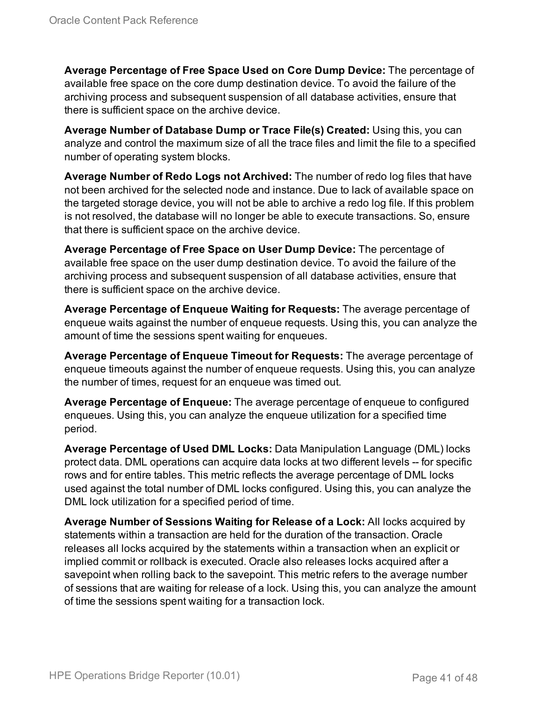**Average Percentage of Free Space Used on Core Dump Device:** The percentage of available free space on the core dump destination device. To avoid the failure of the archiving process and subsequent suspension of all database activities, ensure that there is sufficient space on the archive device.

**Average Number of Database Dump or Trace File(s) Created:** Using this, you can analyze and control the maximum size of all the trace files and limit the file to a specified number of operating system blocks.

**Average Number of Redo Logs not Archived:** The number of redo log files that have not been archived for the selected node and instance. Due to lack of available space on the targeted storage device, you will not be able to archive a redo log file. If this problem is not resolved, the database will no longer be able to execute transactions. So, ensure that there is sufficient space on the archive device.

**Average Percentage of Free Space on User Dump Device:** The percentage of available free space on the user dump destination device. To avoid the failure of the archiving process and subsequent suspension of all database activities, ensure that there is sufficient space on the archive device.

**Average Percentage of Enqueue Waiting for Requests:** The average percentage of enqueue waits against the number of enqueue requests. Using this, you can analyze the amount of time the sessions spent waiting for enqueues.

**Average Percentage of Enqueue Timeout for Requests:** The average percentage of enqueue timeouts against the number of enqueue requests. Using this, you can analyze the number of times, request for an enqueue was timed out.

**Average Percentage of Enqueue:** The average percentage of enqueue to configured enqueues. Using this, you can analyze the enqueue utilization for a specified time period.

**Average Percentage of Used DML Locks:** Data Manipulation Language (DML) locks protect data. DML operations can acquire data locks at two different levels -- for specific rows and for entire tables. This metric reflects the average percentage of DML locks used against the total number of DML locks configured. Using this, you can analyze the DML lock utilization for a specified period of time.

**Average Number of Sessions Waiting for Release of a Lock:** All locks acquired by statements within a transaction are held for the duration of the transaction. Oracle releases all locks acquired by the statements within a transaction when an explicit or implied commit or rollback is executed. Oracle also releases locks acquired after a savepoint when rolling back to the savepoint. This metric refers to the average number of sessions that are waiting for release of a lock. Using this, you can analyze the amount of time the sessions spent waiting for a transaction lock.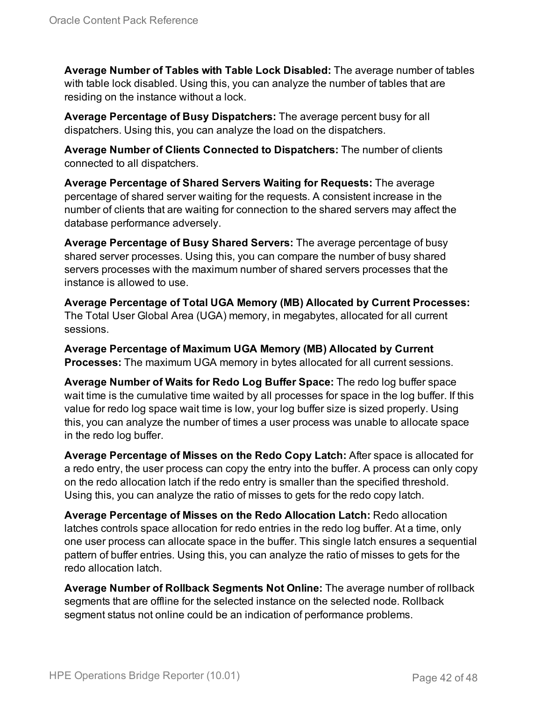**Average Number of Tables with Table Lock Disabled:** The average number of tables with table lock disabled. Using this, you can analyze the number of tables that are residing on the instance without a lock.

**Average Percentage of Busy Dispatchers:** The average percent busy for all dispatchers. Using this, you can analyze the load on the dispatchers.

**Average Number of Clients Connected to Dispatchers:** The number of clients connected to all dispatchers.

**Average Percentage of Shared Servers Waiting for Requests:** The average percentage of shared server waiting for the requests. A consistent increase in the number of clients that are waiting for connection to the shared servers may affect the database performance adversely.

**Average Percentage of Busy Shared Servers:** The average percentage of busy shared server processes. Using this, you can compare the number of busy shared servers processes with the maximum number of shared servers processes that the instance is allowed to use.

**Average Percentage of Total UGA Memory (MB) Allocated by Current Processes:** The Total User Global Area (UGA) memory, in megabytes, allocated for all current sessions.

**Average Percentage of Maximum UGA Memory (MB) Allocated by Current Processes:** The maximum UGA memory in bytes allocated for all current sessions.

**Average Number of Waits for Redo Log Buffer Space:** The redo log buffer space wait time is the cumulative time waited by all processes for space in the log buffer. If this value for redo log space wait time is low, your log buffer size is sized properly. Using this, you can analyze the number of times a user process was unable to allocate space in the redo log buffer.

**Average Percentage of Misses on the Redo Copy Latch:** After space is allocated for a redo entry, the user process can copy the entry into the buffer. A process can only copy on the redo allocation latch if the redo entry is smaller than the specified threshold. Using this, you can analyze the ratio of misses to gets for the redo copy latch.

**Average Percentage of Misses on the Redo Allocation Latch:** Redo allocation latches controls space allocation for redo entries in the redo log buffer. At a time, only one user process can allocate space in the buffer. This single latch ensures a sequential pattern of buffer entries. Using this, you can analyze the ratio of misses to gets for the redo allocation latch.

**Average Number of Rollback Segments Not Online:** The average number of rollback segments that are offline for the selected instance on the selected node. Rollback segment status not online could be an indication of performance problems.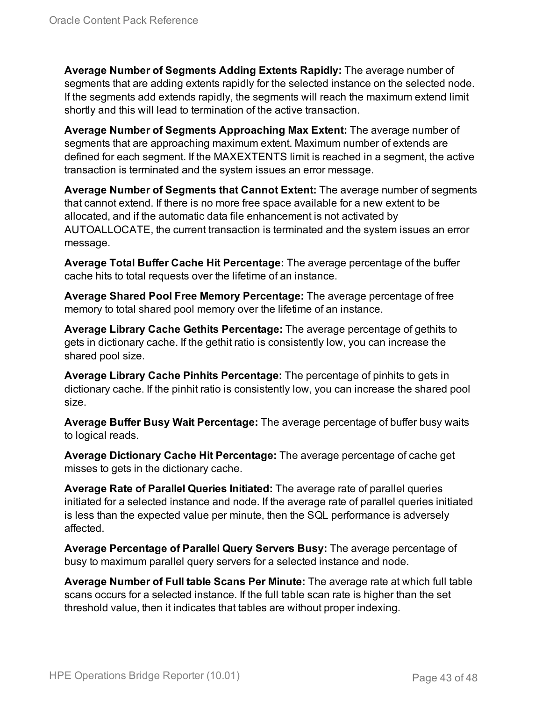**Average Number of Segments Adding Extents Rapidly:** The average number of segments that are adding extents rapidly for the selected instance on the selected node. If the segments add extends rapidly, the segments will reach the maximum extend limit shortly and this will lead to termination of the active transaction.

**Average Number of Segments Approaching Max Extent:** The average number of segments that are approaching maximum extent. Maximum number of extends are defined for each segment. If the MAXEXTENTS limit is reached in a segment, the active transaction is terminated and the system issues an error message.

**Average Number of Segments that Cannot Extent:** The average number of segments that cannot extend. If there is no more free space available for a new extent to be allocated, and if the automatic data file enhancement is not activated by AUTOALLOCATE, the current transaction is terminated and the system issues an error message.

**Average Total Buffer Cache Hit Percentage:** The average percentage of the buffer cache hits to total requests over the lifetime of an instance.

**Average Shared Pool Free Memory Percentage:** The average percentage of free memory to total shared pool memory over the lifetime of an instance.

**Average Library Cache Gethits Percentage:** The average percentage of gethits to gets in dictionary cache. If the gethit ratio is consistently low, you can increase the shared pool size.

**Average Library Cache Pinhits Percentage:** The percentage of pinhits to gets in dictionary cache. If the pinhit ratio is consistently low, you can increase the shared pool size.

**Average Buffer Busy Wait Percentage:** The average percentage of buffer busy waits to logical reads.

**Average Dictionary Cache Hit Percentage:** The average percentage of cache get misses to gets in the dictionary cache.

**Average Rate of Parallel Queries Initiated:** The average rate of parallel queries initiated for a selected instance and node. If the average rate of parallel queries initiated is less than the expected value per minute, then the SQL performance is adversely affected.

**Average Percentage of Parallel Query Servers Busy:** The average percentage of busy to maximum parallel query servers for a selected instance and node.

**Average Number of Full table Scans Per Minute:** The average rate at which full table scans occurs for a selected instance. If the full table scan rate is higher than the set threshold value, then it indicates that tables are without proper indexing.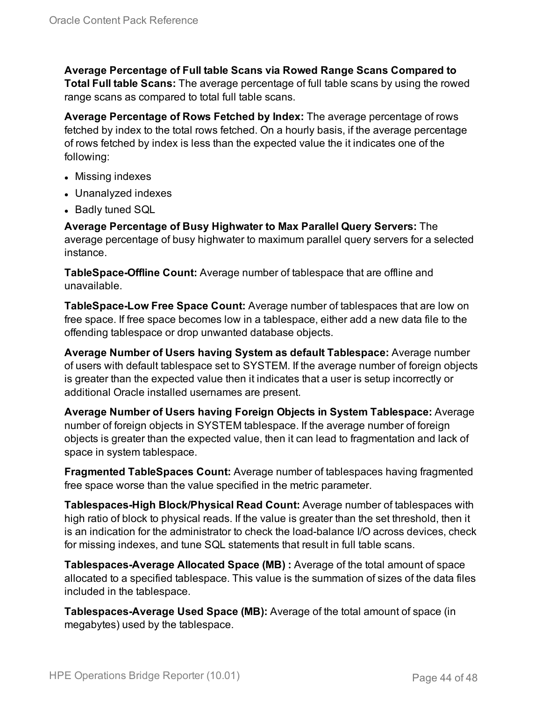**Average Percentage of Full table Scans via Rowed Range Scans Compared to Total Full table Scans:** The average percentage of full table scans by using the rowed range scans as compared to total full table scans.

**Average Percentage of Rows Fetched by Index:** The average percentage of rows fetched by index to the total rows fetched. On a hourly basis, if the average percentage of rows fetched by index is less than the expected value the it indicates one of the following:

- Missing indexes
- Unanalyzed indexes
- Badly tuned SQL

**Average Percentage of Busy Highwater to Max Parallel Query Servers:** The average percentage of busy highwater to maximum parallel query servers for a selected instance.

**TableSpace-Offline Count:** Average number of tablespace that are offline and unavailable.

**TableSpace-Low Free Space Count:** Average number of tablespaces that are low on free space. If free space becomes low in a tablespace, either add a new data file to the offending tablespace or drop unwanted database objects.

**Average Number of Users having System as default Tablespace:** Average number of users with default tablespace set to SYSTEM. If the average number of foreign objects is greater than the expected value then it indicates that a user is setup incorrectly or additional Oracle installed usernames are present.

**Average Number of Users having Foreign Objects in System Tablespace:** Average number of foreign objects in SYSTEM tablespace. If the average number of foreign objects is greater than the expected value, then it can lead to fragmentation and lack of space in system tablespace.

**Fragmented TableSpaces Count:** Average number of tablespaces having fragmented free space worse than the value specified in the metric parameter.

**Tablespaces-High Block/Physical Read Count:** Average number of tablespaces with high ratio of block to physical reads. If the value is greater than the set threshold, then it is an indication for the administrator to check the load-balance I/O across devices, check for missing indexes, and tune SQL statements that result in full table scans.

**Tablespaces-Average Allocated Space (MB) :** Average of the total amount of space allocated to a specified tablespace. This value is the summation of sizes of the data files included in the tablespace.

**Tablespaces-Average Used Space (MB):** Average of the total amount of space (in megabytes) used by the tablespace.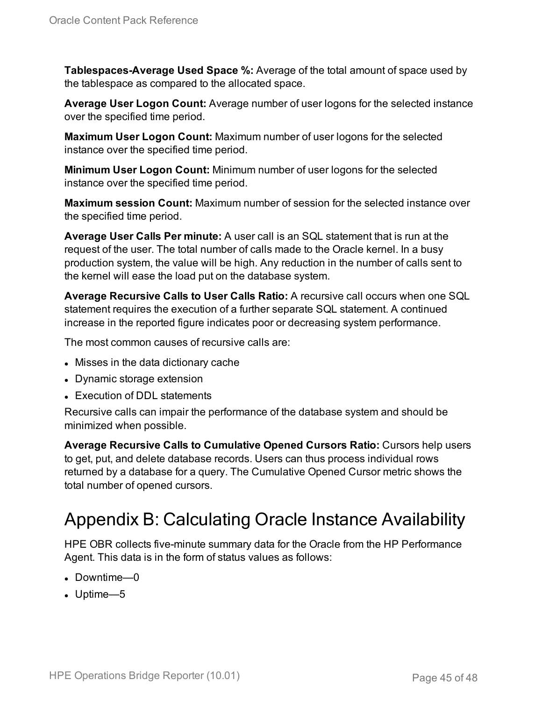**Tablespaces-Average Used Space %:** Average of the total amount of space used by the tablespace as compared to the allocated space.

**Average User Logon Count:** Average number of user logons for the selected instance over the specified time period.

**Maximum User Logon Count:** Maximum number of user logons for the selected instance over the specified time period.

**Minimum User Logon Count:** Minimum number of user logons for the selected instance over the specified time period.

**Maximum session Count:** Maximum number of session for the selected instance over the specified time period.

**Average User Calls Per minute:** A user call is an SQL statement that is run at the request of the user. The total number of calls made to the Oracle kernel. In a busy production system, the value will be high. Any reduction in the number of calls sent to the kernel will ease the load put on the database system.

**Average Recursive Calls to User Calls Ratio:** A recursive call occurs when one SQL statement requires the execution of a further separate SQL statement. A continued increase in the reported figure indicates poor or decreasing system performance.

The most common causes of recursive calls are:

- Misses in the data dictionary cache
- Dynamic storage extension
- Execution of DDL statements

Recursive calls can impair the performance of the database system and should be minimized when possible.

**Average Recursive Calls to Cumulative Opened Cursors Ratio:** Cursors help users to get, put, and delete database records. Users can thus process individual rows returned by a database for a query. The Cumulative Opened Cursor metric shows the total number of opened cursors.

## <span id="page-44-0"></span>Appendix B: Calculating Oracle Instance Availability

HPE OBR collects five-minute summary data for the Oracle from the HP Performance Agent. This data is in the form of status values as follows:

- $\bullet$  Downtime—0
- $\bullet$  Uptime—5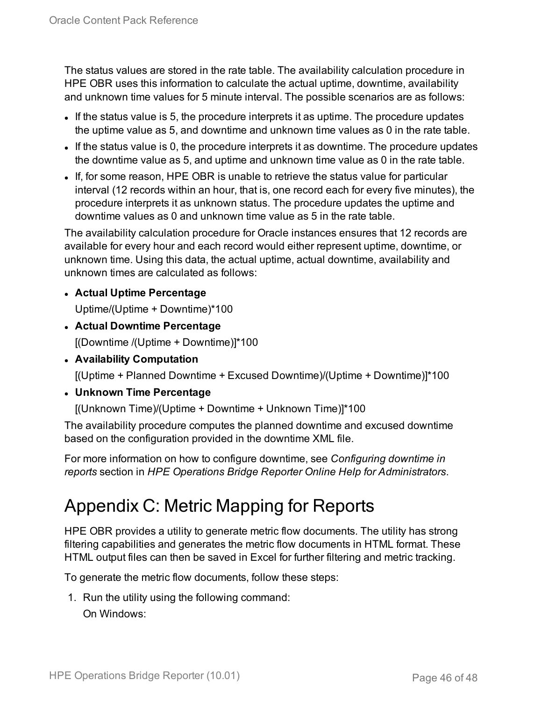The status values are stored in the rate table. The availability calculation procedure in HPE OBR uses this information to calculate the actual uptime, downtime, availability and unknown time values for 5 minute interval. The possible scenarios are as follows:

- If the status value is 5, the procedure interprets it as uptime. The procedure updates the uptime value as 5, and downtime and unknown time values as 0 in the rate table.
- If the status value is 0, the procedure interprets it as downtime. The procedure updates the downtime value as 5, and uptime and unknown time value as 0 in the rate table.
- If, for some reason, HPE OBR is unable to retrieve the status value for particular interval (12 records within an hour, that is, one record each for every five minutes), the procedure interprets it as unknown status. The procedure updates the uptime and downtime values as 0 and unknown time value as 5 in the rate table.

The availability calculation procedure for Oracle instances ensures that 12 records are available for every hour and each record would either represent uptime, downtime, or unknown time. Using this data, the actual uptime, actual downtime, availability and unknown times are calculated as follows:

- <sup>l</sup> **Actual Uptime Percentage** Uptime/(Uptime + Downtime)\*100
- <sup>l</sup> **Actual Downtime Percentage** [(Downtime /(Uptime + Downtime)]\*100
- <sup>l</sup> **Availability Computation**

[(Uptime + Planned Downtime + Excused Downtime)/(Uptime + Downtime)]\*100

<sup>l</sup> **Unknown Time Percentage**

[(Unknown Time)/(Uptime + Downtime + Unknown Time)]\*100

The availability procedure computes the planned downtime and excused downtime based on the configuration provided in the downtime XML file.

For more information on how to configure downtime, see *Configuring downtime in reports* section in *HPE Operations Bridge Reporter Online Help for Administrators*.

## <span id="page-45-0"></span>Appendix C: Metric Mapping for Reports

HPE OBR provides a utility to generate metric flow documents. The utility has strong filtering capabilities and generates the metric flow documents in HTML format. These HTML output files can then be saved in Excel for further filtering and metric tracking.

To generate the metric flow documents, follow these steps:

1. Run the utility using the following command: On Windows: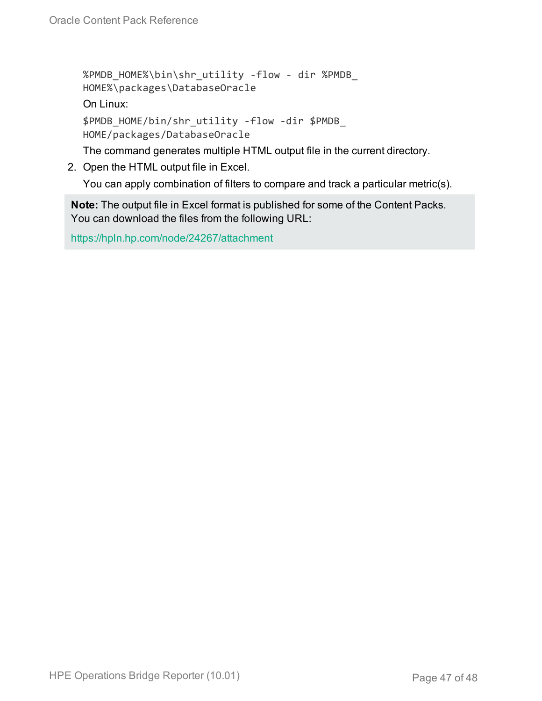```
%PMDB_HOME%\bin\shr_utility -flow - dir %PMDB_
HOME%\packages\DatabaseOracle
On Linux:
$PMDB_HOME/bin/shr_utility -flow -dir $PMDB_
HOME/packages/DatabaseOracle
```
The command generates multiple HTML output file in the current directory.

2. Open the HTML output file in Excel.

You can apply combination of filters to compare and track a particular metric(s).

**Note:** The output file in Excel format is published for some of the Content Packs. You can download the files from the following URL:

<https://hpln.hp.com/node/24267/attachment>